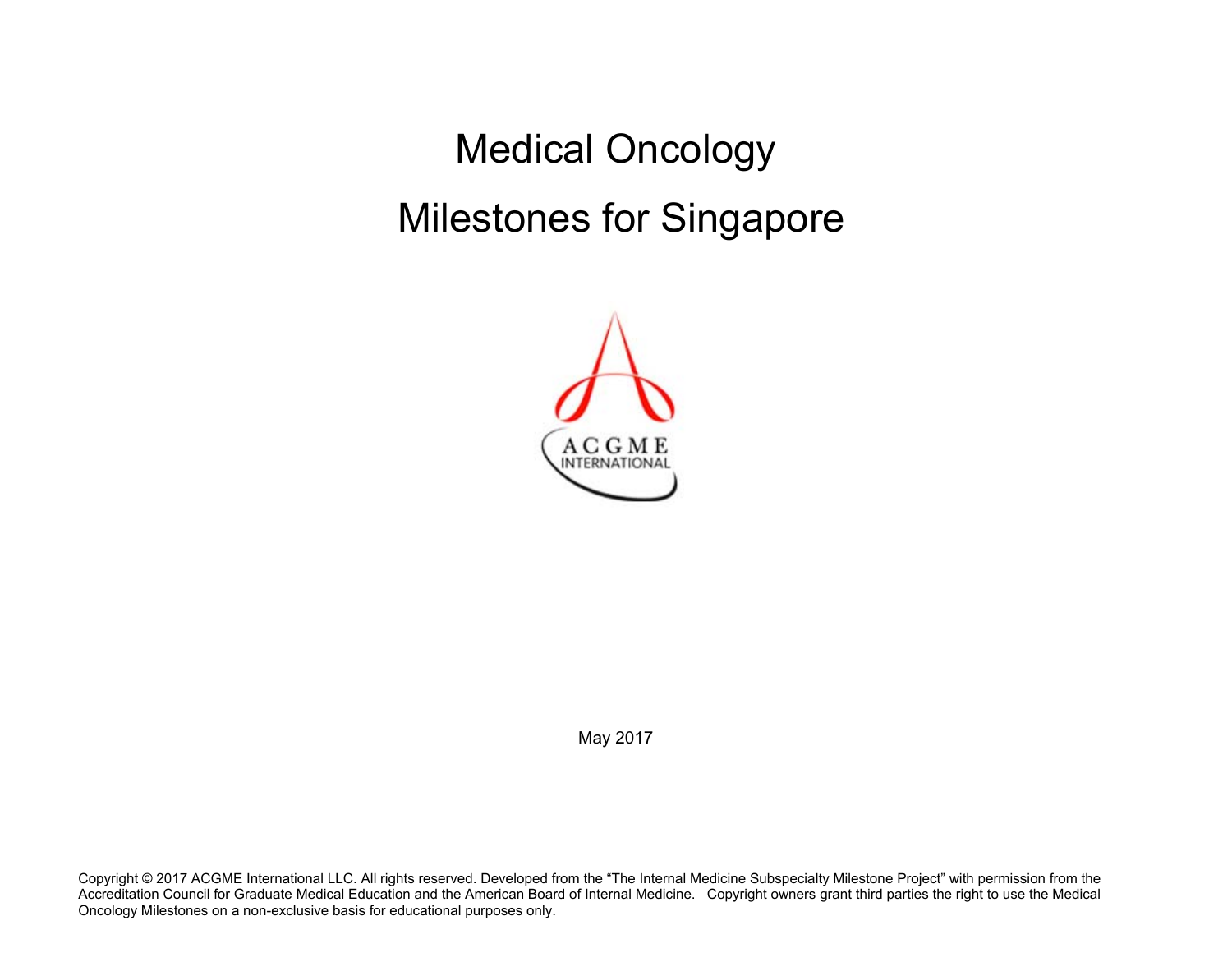Medical Oncology Milestones for Singapore



May 2017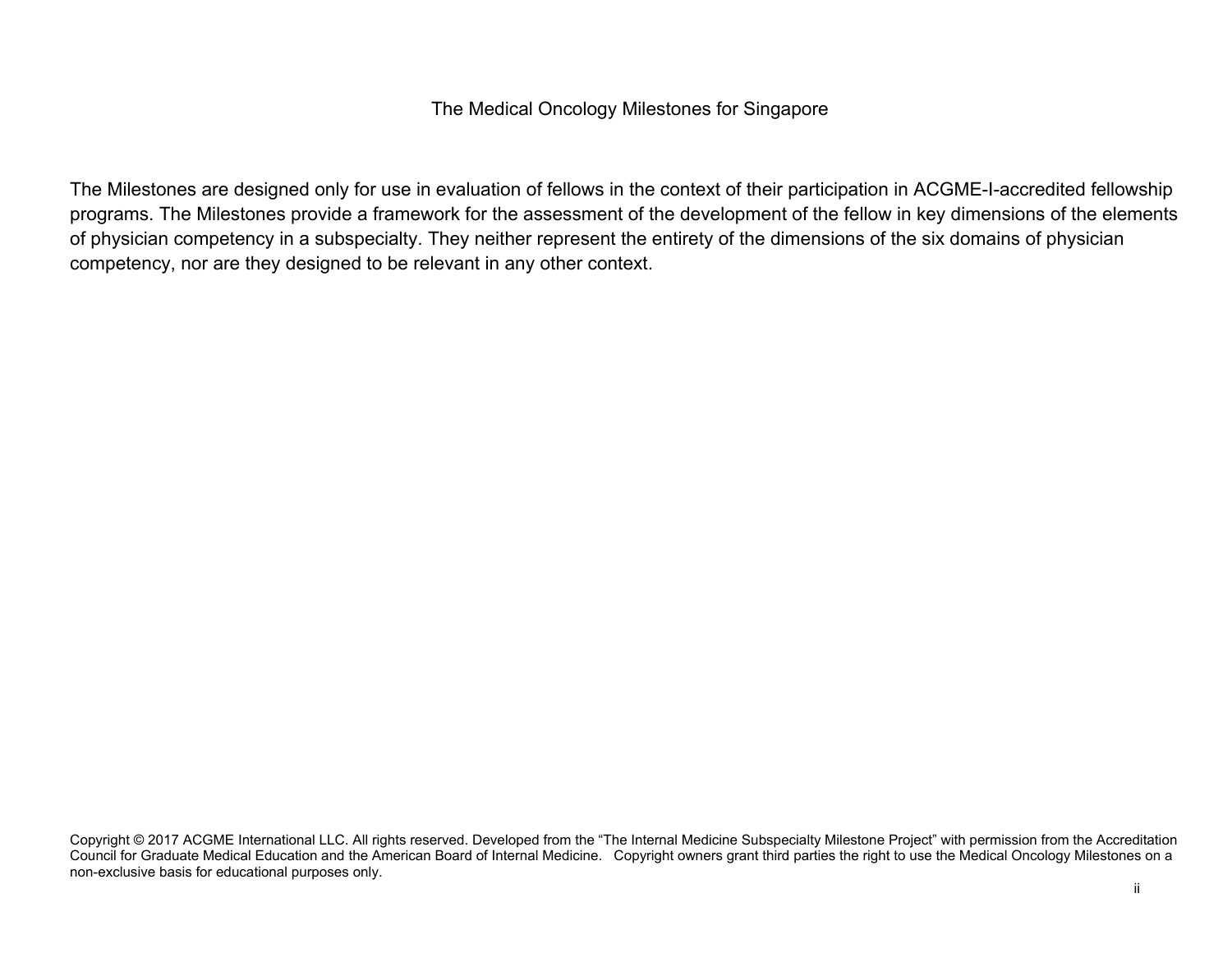## The Medical Oncology Milestones for Singapore

The Milestones are designed only for use in evaluation of fellows in the context of their participation in ACGME-I-accredited fellowship programs. The Milestones provide a framework for the assessment of the development of the fellow in key dimensions of the elements of physician competency in a subspecialty. They neither represent the entirety of the dimensions of the six domains of physician competency, nor are they designed to be relevant in any other context.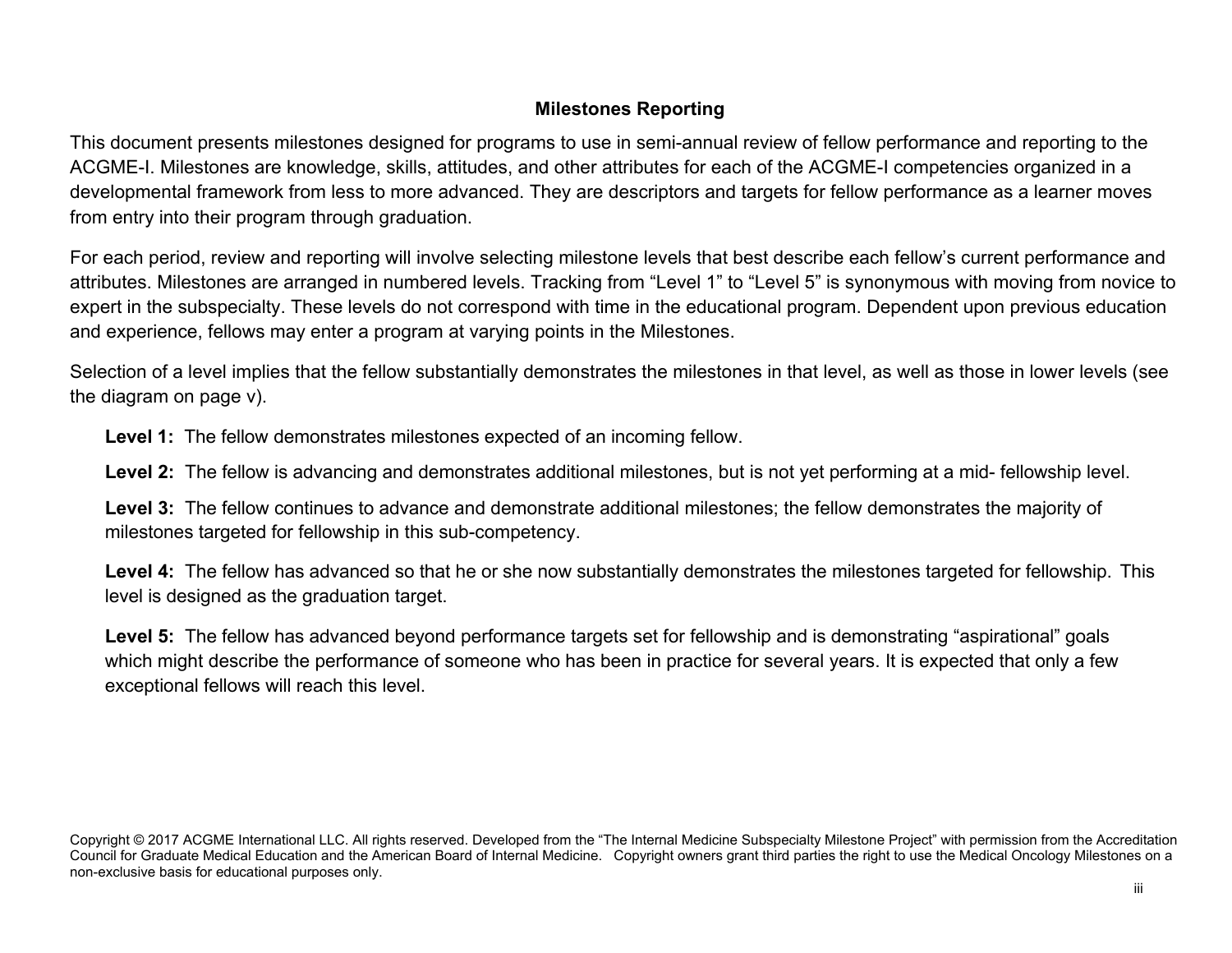## **Milestones Reporting**

This document presents milestones designed for programs to use in semi-annual review of fellow performance and reporting to the ACGME-I. Milestones are knowledge, skills, attitudes, and other attributes for each of the ACGME-I competencies organized in a developmental framework from less to more advanced. They are descriptors and targets for fellow performance as a learner moves from entry into their program through graduation.

For each period, review and reporting will involve selecting milestone levels that best describe each fellow's current performance and attributes. Milestones are arranged in numbered levels. Tracking from "Level 1" to "Level 5" is synonymous with moving from novice to expert in the subspecialty. These levels do not correspond with time in the educational program. Dependent upon previous education and experience, fellows may enter a program at varying points in the Milestones.

Selection of a level implies that the fellow substantially demonstrates the milestones in that level, as well as those in lower levels (see the diagram on page v).

**Level 1:** The fellow demonstrates milestones expected of an incoming fellow.

**Level 2:** The fellow is advancing and demonstrates additional milestones, but is not yet performing at a mid- fellowship level.

**Level 3:** The fellow continues to advance and demonstrate additional milestones; the fellow demonstrates the majority of milestones targeted for fellowship in this sub-competency.

**Level 4:** The fellow has advanced so that he or she now substantially demonstrates the milestones targeted for fellowship. This level is designed as the graduation target.

Level 5: The fellow has advanced beyond performance targets set for fellowship and is demonstrating "aspirational" goals which might describe the performance of someone who has been in practice for several years. It is expected that only a few exceptional fellows will reach this level.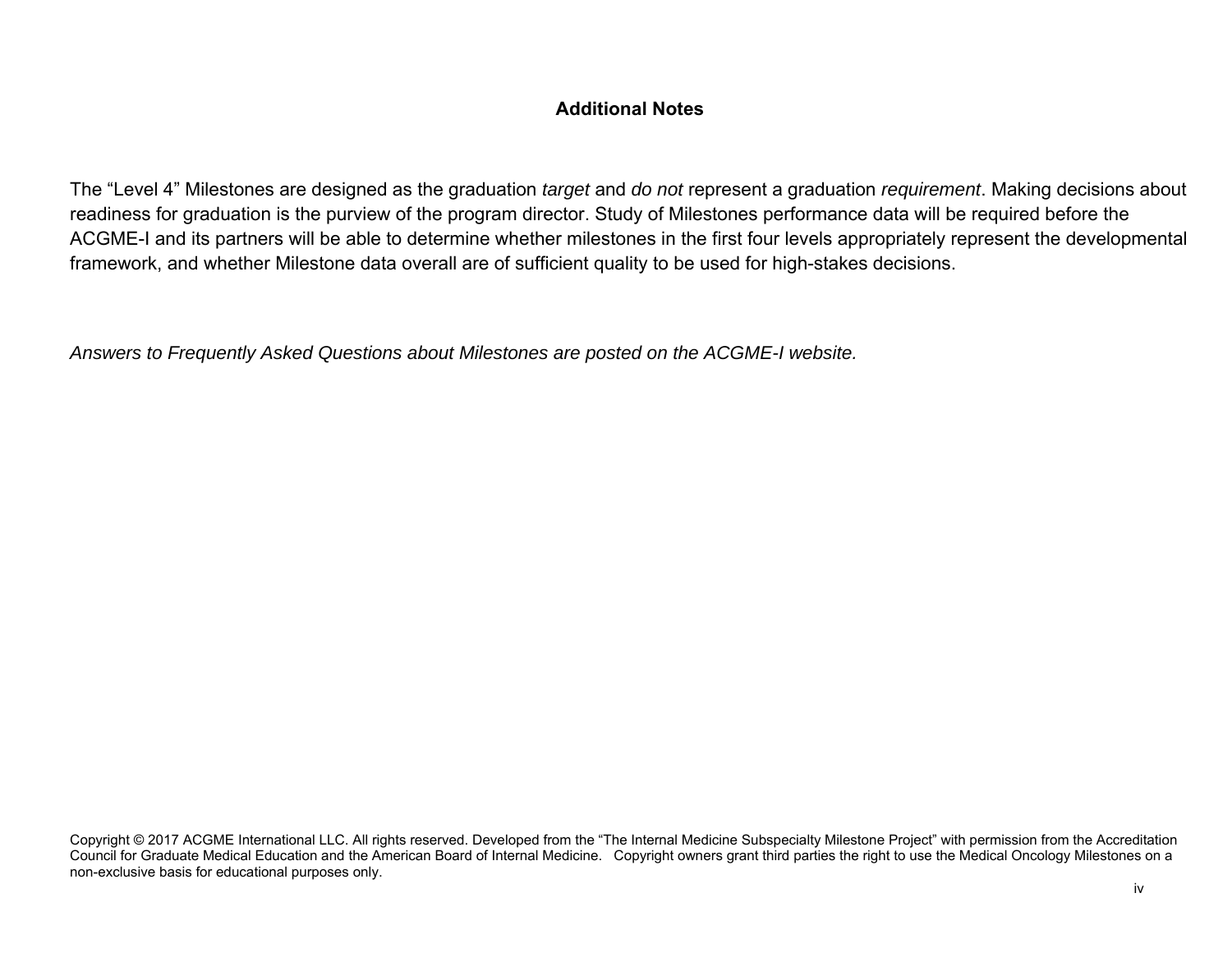## **Additional Notes**

The "Level 4" Milestones are designed as the graduation *target* and *do not* represent a graduation *requirement*. Making decisions about readiness for graduation is the purview of the program director. Study of Milestones performance data will be required before the ACGME-I and its partners will be able to determine whether milestones in the first four levels appropriately represent the developmental framework, and whether Milestone data overall are of sufficient quality to be used for high-stakes decisions.

*Answers to Frequently Asked Questions about Milestones are posted on the ACGME-I website.*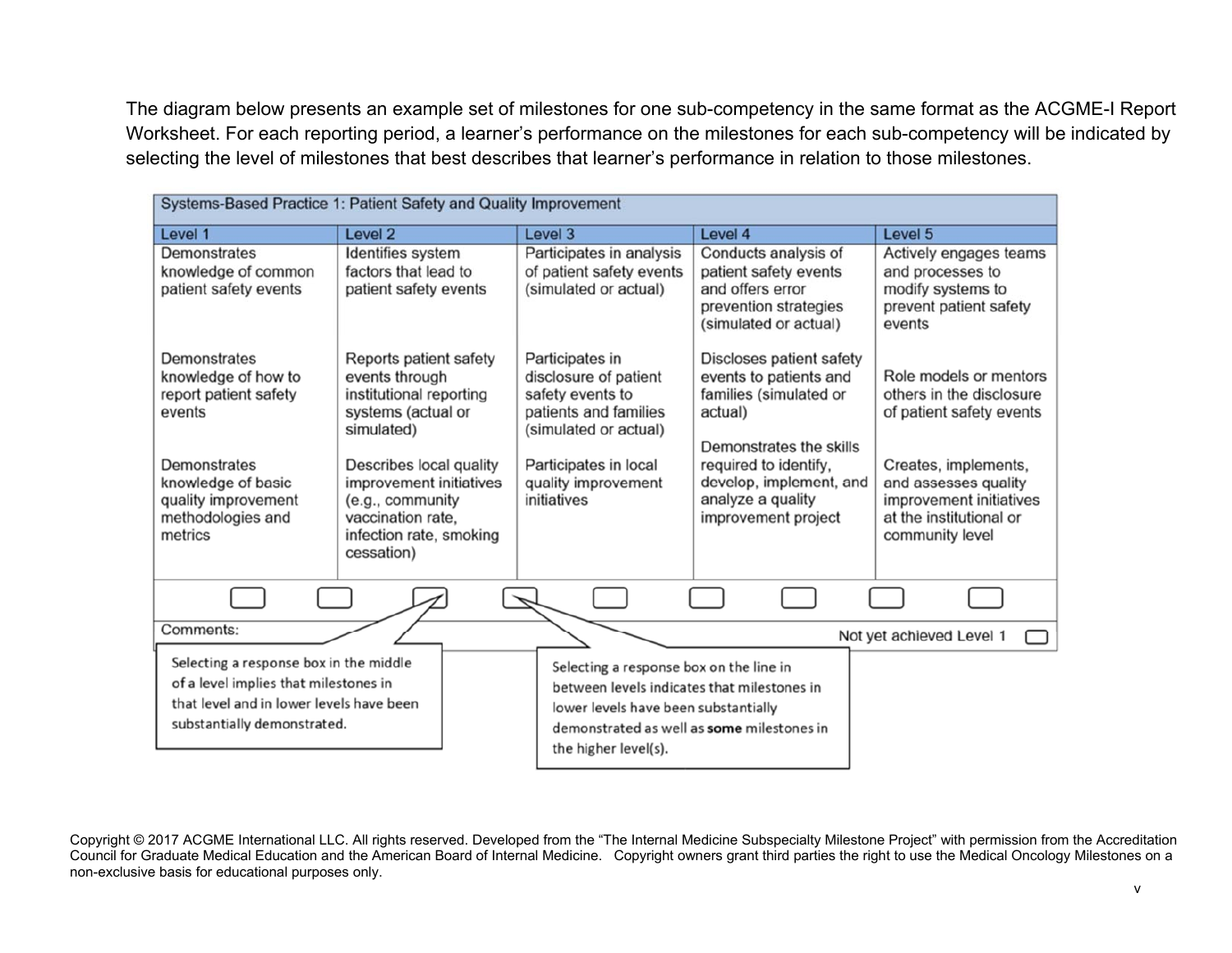The diagram below presents an example set of milestones for one sub-competency in the same format as the ACGME-I Report Worksheet. For each reporting period, a learner's performance on the milestones for each sub-competency will be indicated by selecting the level of milestones that best describes that learner's performance in relation to those milestones.

| Systems-Based Practice 1: Patient Safety and Quality Improvement                                                                                                    |                                                                                                                                                                                                                                                 |                                                                                                                                                                                                      |                                                                                                                                                                                                                    |                                                                                                                                                                                                         |
|---------------------------------------------------------------------------------------------------------------------------------------------------------------------|-------------------------------------------------------------------------------------------------------------------------------------------------------------------------------------------------------------------------------------------------|------------------------------------------------------------------------------------------------------------------------------------------------------------------------------------------------------|--------------------------------------------------------------------------------------------------------------------------------------------------------------------------------------------------------------------|---------------------------------------------------------------------------------------------------------------------------------------------------------------------------------------------------------|
| Level 1                                                                                                                                                             | Level 2                                                                                                                                                                                                                                         | Level 3                                                                                                                                                                                              | Level 4                                                                                                                                                                                                            | Level 5                                                                                                                                                                                                 |
| Demonstrates<br>knowledge of common<br>patient safety events                                                                                                        | Identifies system<br>factors that lead to<br>patient safety events                                                                                                                                                                              | Participates in analysis<br>of patient safety events<br>(simulated or actual)                                                                                                                        | Conducts analysis of<br>patient safety events<br>and offers error<br>prevention strategies<br>(simulated or actual)                                                                                                | Actively engages teams<br>and processes to<br>modify systems to<br>prevent patient safety<br>events                                                                                                     |
| Demonstrates<br>knowledge of how to<br>report patient safety<br>events<br>Demonstrates<br>knowledge of basic<br>quality improvement<br>methodologies and<br>metrics | Reports patient safety<br>events through<br>institutional reporting<br>systems (actual or<br>simulated)<br>Describes local quality<br>improvement initiatives<br>(e.g., community<br>vaccination rate.<br>infection rate, smoking<br>cessation) | Participates in<br>disclosure of patient<br>safety events to<br>patients and families<br>(simulated or actual)<br>Participates in local<br>quality improvement<br>initiatives                        | Discloses patient safety<br>events to patients and<br>families (simulated or<br>actual)<br>Demonstrates the skills<br>required to identify,<br>develop, implement, and<br>analyze a quality<br>improvement project | Role models or mentors<br>others in the disclosure<br>of patient safety events<br>Creates, implements,<br>and assesses quality<br>improvement initiatives<br>at the institutional or<br>community level |
|                                                                                                                                                                     |                                                                                                                                                                                                                                                 |                                                                                                                                                                                                      |                                                                                                                                                                                                                    |                                                                                                                                                                                                         |
| Comments:                                                                                                                                                           |                                                                                                                                                                                                                                                 |                                                                                                                                                                                                      |                                                                                                                                                                                                                    | Not yet achieved Level 1                                                                                                                                                                                |
| Selecting a response box in the middle<br>of a level implies that milestones in<br>that level and in lower levels have been<br>substantially demonstrated.          |                                                                                                                                                                                                                                                 | Selecting a response box on the line in<br>between levels indicates that milestones in<br>lower levels have been substantially<br>demonstrated as well as some milestones in<br>the higher level(s). |                                                                                                                                                                                                                    |                                                                                                                                                                                                         |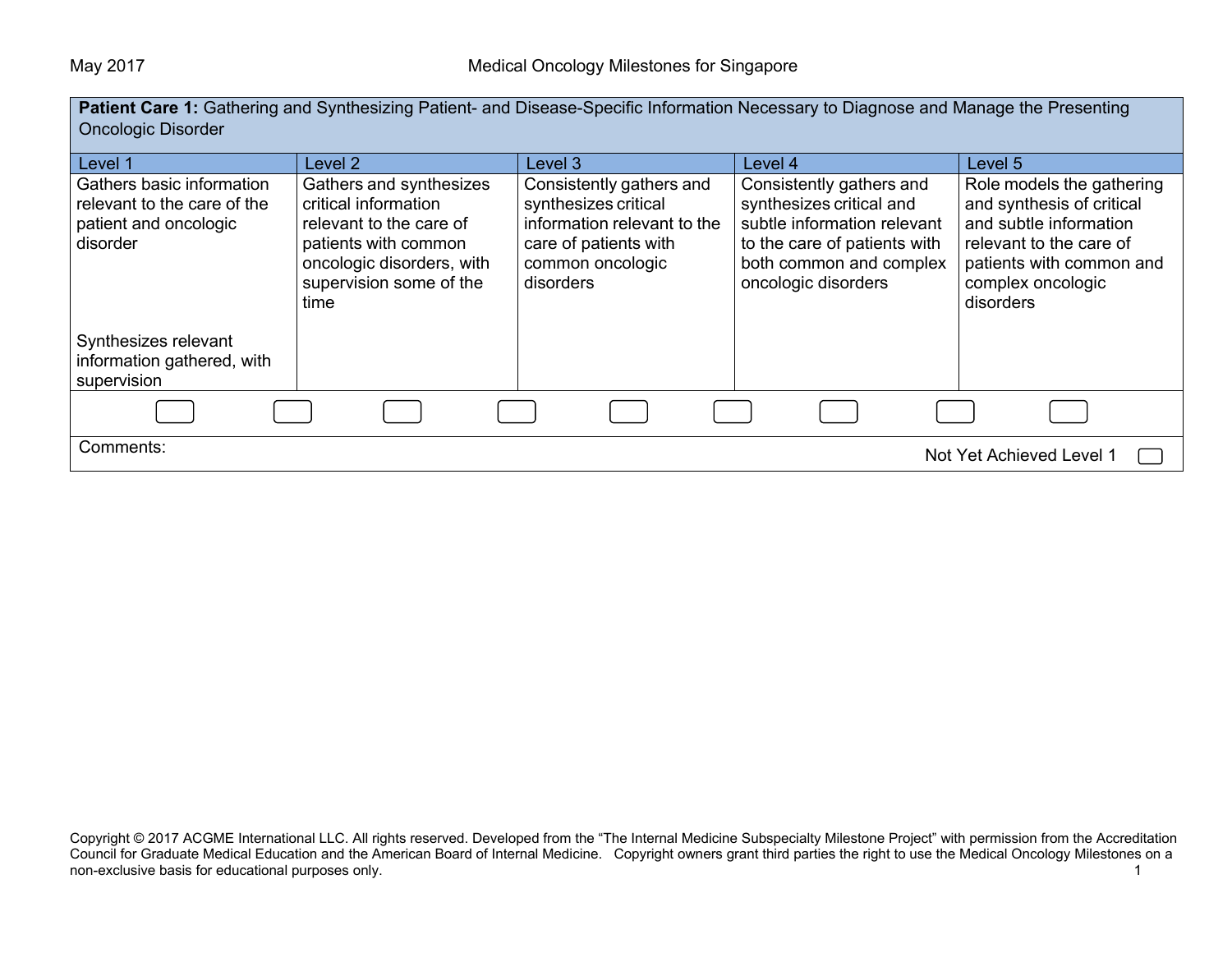**Patient Care 1:** Gathering and Synthesizing Patient- and Disease-Specific Information Necessary to Diagnose and Manage the Presenting

| <b>Oncologic Disorder</b>                                                                     |                                                                                                                                                                    |                                                                                                                                           |                                                                                                                                                                       |                                                                                                                                                                           |
|-----------------------------------------------------------------------------------------------|--------------------------------------------------------------------------------------------------------------------------------------------------------------------|-------------------------------------------------------------------------------------------------------------------------------------------|-----------------------------------------------------------------------------------------------------------------------------------------------------------------------|---------------------------------------------------------------------------------------------------------------------------------------------------------------------------|
| Level 1                                                                                       | Level 2                                                                                                                                                            | Level 3                                                                                                                                   | Level 4                                                                                                                                                               | Level 5                                                                                                                                                                   |
| Gathers basic information<br>relevant to the care of the<br>patient and oncologic<br>disorder | Gathers and synthesizes<br>critical information<br>relevant to the care of<br>patients with common<br>oncologic disorders, with<br>supervision some of the<br>time | Consistently gathers and<br>synthesizes critical<br>information relevant to the<br>care of patients with<br>common oncologic<br>disorders | Consistently gathers and<br>synthesizes critical and<br>subtle information relevant<br>to the care of patients with<br>both common and complex<br>oncologic disorders | Role models the gathering<br>and synthesis of critical<br>and subtle information<br>relevant to the care of<br>patients with common and<br>complex oncologic<br>disorders |
| Synthesizes relevant<br>information gathered, with<br>supervision                             |                                                                                                                                                                    |                                                                                                                                           |                                                                                                                                                                       |                                                                                                                                                                           |
|                                                                                               |                                                                                                                                                                    |                                                                                                                                           |                                                                                                                                                                       |                                                                                                                                                                           |
| Comments:<br>Not Yet Achieved Level 1                                                         |                                                                                                                                                                    |                                                                                                                                           |                                                                                                                                                                       |                                                                                                                                                                           |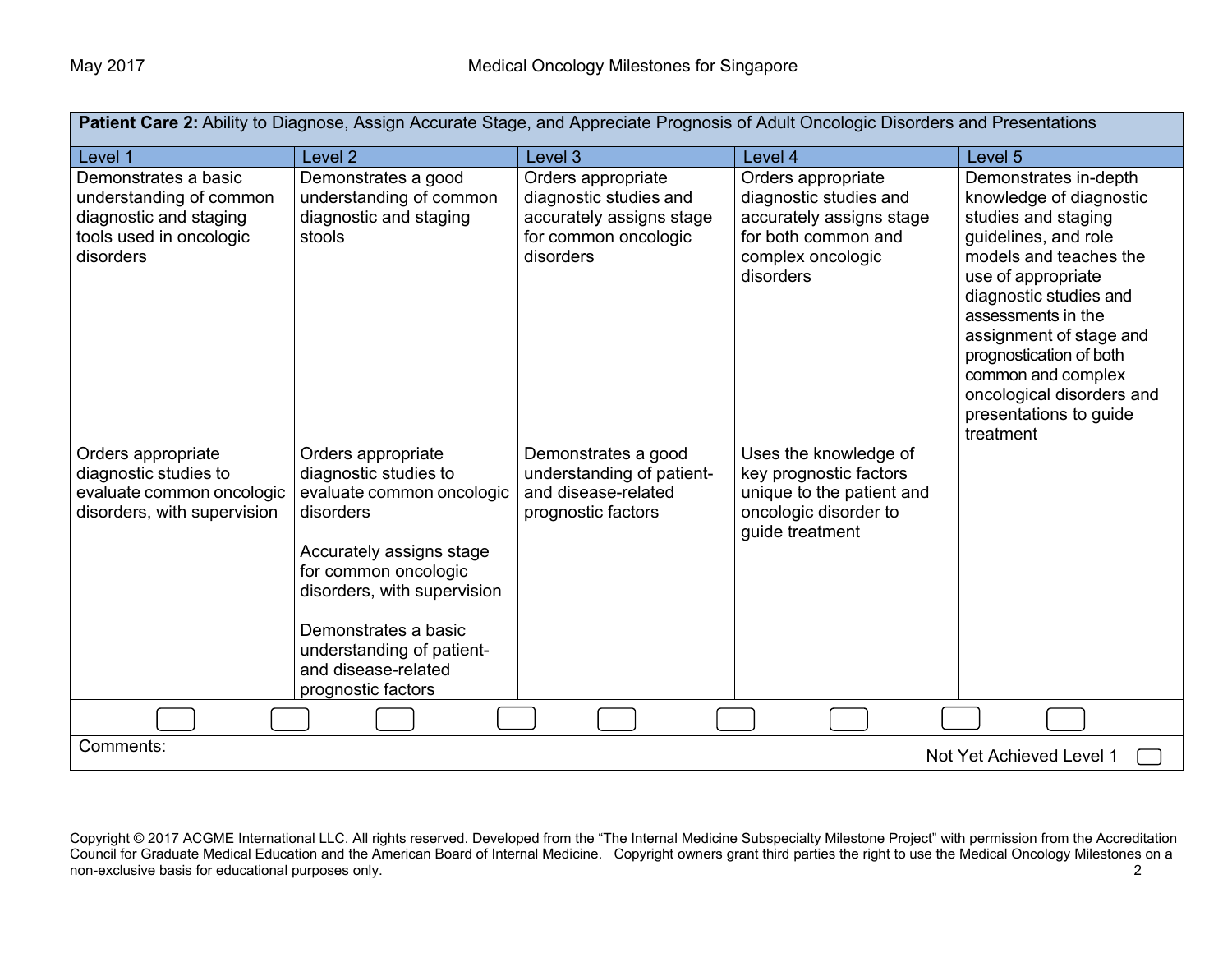| Patient Care 2: Ability to Diagnose, Assign Accurate Stage, and Appreciate Prognosis of Adult Oncologic Disorders and Presentations |                                                                                                                                                                                                                                                                            |                                                                                                               |                                                                                                                                   |                                                                                                                                                                                                                                                                                                                                                 |
|-------------------------------------------------------------------------------------------------------------------------------------|----------------------------------------------------------------------------------------------------------------------------------------------------------------------------------------------------------------------------------------------------------------------------|---------------------------------------------------------------------------------------------------------------|-----------------------------------------------------------------------------------------------------------------------------------|-------------------------------------------------------------------------------------------------------------------------------------------------------------------------------------------------------------------------------------------------------------------------------------------------------------------------------------------------|
| Level 1                                                                                                                             | Level 2                                                                                                                                                                                                                                                                    | Level 3                                                                                                       | Level 4                                                                                                                           | Level 5                                                                                                                                                                                                                                                                                                                                         |
| Demonstrates a basic<br>understanding of common<br>diagnostic and staging<br>tools used in oncologic<br>disorders                   | Demonstrates a good<br>understanding of common<br>diagnostic and staging<br>stools                                                                                                                                                                                         | Orders appropriate<br>diagnostic studies and<br>accurately assigns stage<br>for common oncologic<br>disorders | Orders appropriate<br>diagnostic studies and<br>accurately assigns stage<br>for both common and<br>complex oncologic<br>disorders | Demonstrates in-depth<br>knowledge of diagnostic<br>studies and staging<br>guidelines, and role<br>models and teaches the<br>use of appropriate<br>diagnostic studies and<br>assessments in the<br>assignment of stage and<br>prognostication of both<br>common and complex<br>oncological disorders and<br>presentations to guide<br>treatment |
| Orders appropriate<br>diagnostic studies to<br>evaluate common oncologic<br>disorders, with supervision                             | Orders appropriate<br>diagnostic studies to<br>evaluate common oncologic<br>disorders<br>Accurately assigns stage<br>for common oncologic<br>disorders, with supervision<br>Demonstrates a basic<br>understanding of patient-<br>and disease-related<br>prognostic factors | Demonstrates a good<br>understanding of patient-<br>and disease-related<br>prognostic factors                 | Uses the knowledge of<br>key prognostic factors<br>unique to the patient and<br>oncologic disorder to<br>guide treatment          |                                                                                                                                                                                                                                                                                                                                                 |
|                                                                                                                                     |                                                                                                                                                                                                                                                                            |                                                                                                               |                                                                                                                                   |                                                                                                                                                                                                                                                                                                                                                 |
| Comments:                                                                                                                           |                                                                                                                                                                                                                                                                            |                                                                                                               |                                                                                                                                   | Not Yet Achieved Level 1                                                                                                                                                                                                                                                                                                                        |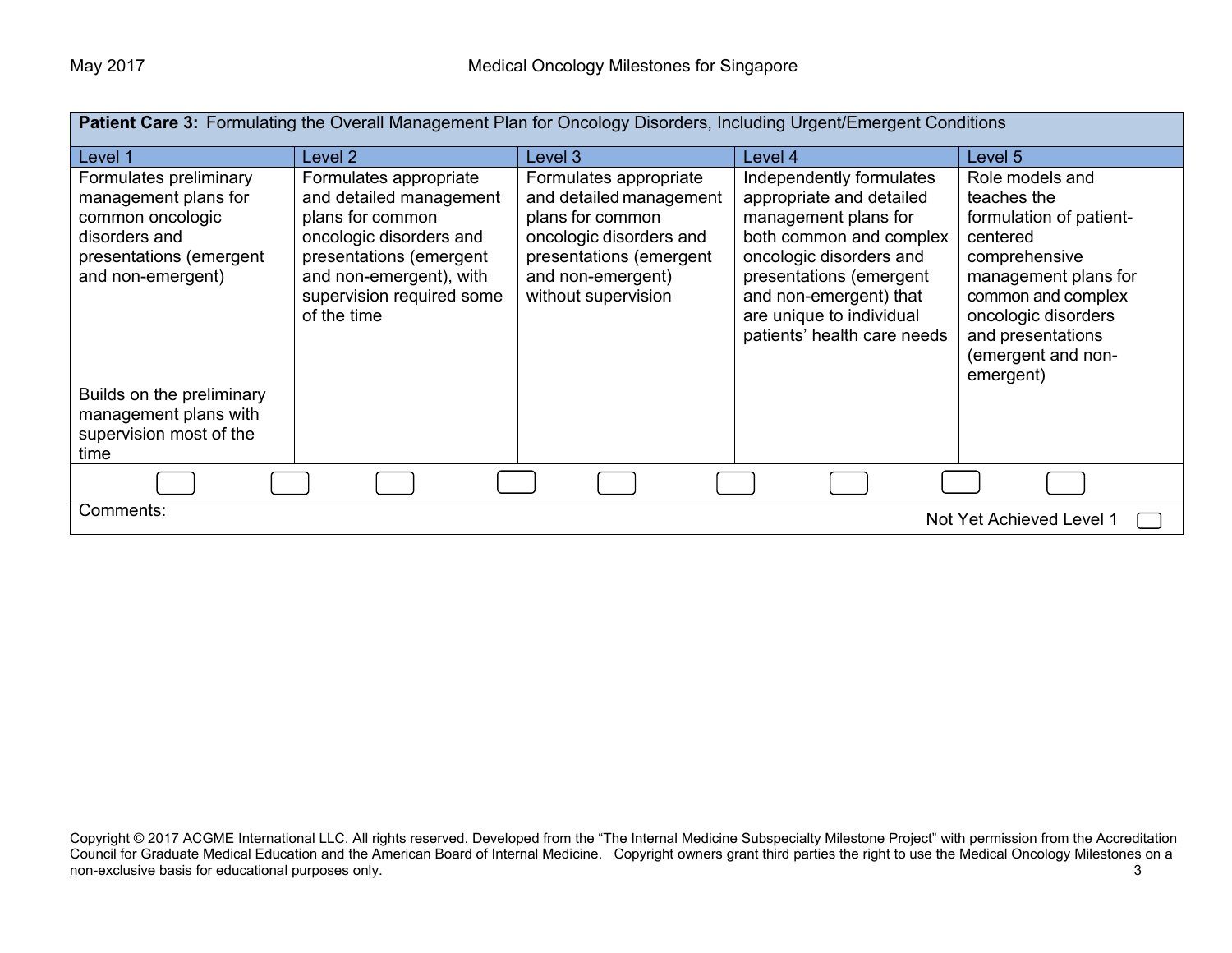| <b>Patient Care 3:</b> Formulating the Overall Management Plan for Oncology Disorders, Including Urgent/Emergent Conditions         |                                                                                                                                                                                                    |                                                                                                                                                                         |                                                                                                                                                                                                                                                    |                                                                                                                                                                                                                     |
|-------------------------------------------------------------------------------------------------------------------------------------|----------------------------------------------------------------------------------------------------------------------------------------------------------------------------------------------------|-------------------------------------------------------------------------------------------------------------------------------------------------------------------------|----------------------------------------------------------------------------------------------------------------------------------------------------------------------------------------------------------------------------------------------------|---------------------------------------------------------------------------------------------------------------------------------------------------------------------------------------------------------------------|
| Level 1                                                                                                                             | Level 2                                                                                                                                                                                            | Level 3                                                                                                                                                                 | Level 4                                                                                                                                                                                                                                            | Level 5                                                                                                                                                                                                             |
| Formulates preliminary<br>management plans for<br>common oncologic<br>disorders and<br>presentations (emergent<br>and non-emergent) | Formulates appropriate<br>and detailed management<br>plans for common<br>oncologic disorders and<br>presentations (emergent<br>and non-emergent), with<br>supervision required some<br>of the time | Formulates appropriate<br>and detailed management<br>plans for common<br>oncologic disorders and<br>presentations (emergent<br>and non-emergent)<br>without supervision | Independently formulates<br>appropriate and detailed<br>management plans for<br>both common and complex<br>oncologic disorders and<br>presentations (emergent<br>and non-emergent) that<br>are unique to individual<br>patients' health care needs | Role models and<br>teaches the<br>formulation of patient-<br>centered<br>comprehensive<br>management plans for<br>common and complex<br>oncologic disorders<br>and presentations<br>(emergent and non-<br>emergent) |
| Builds on the preliminary<br>management plans with<br>supervision most of the<br>time                                               |                                                                                                                                                                                                    |                                                                                                                                                                         |                                                                                                                                                                                                                                                    |                                                                                                                                                                                                                     |
|                                                                                                                                     |                                                                                                                                                                                                    |                                                                                                                                                                         |                                                                                                                                                                                                                                                    |                                                                                                                                                                                                                     |
| Comments:                                                                                                                           |                                                                                                                                                                                                    |                                                                                                                                                                         |                                                                                                                                                                                                                                                    | Not Yet Achieved Level 1                                                                                                                                                                                            |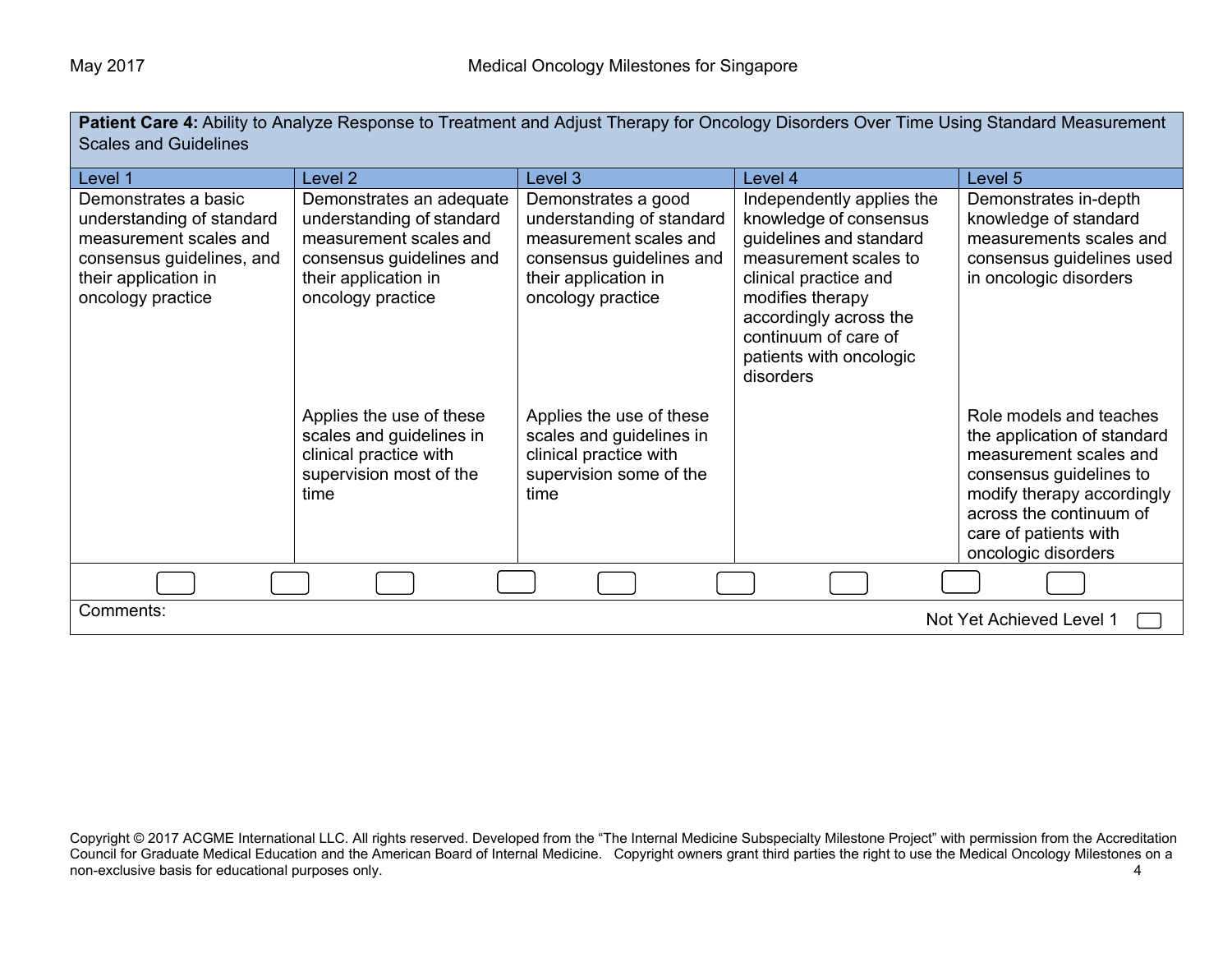| Patient Care 4: Ability to Analyze Response to Treatment and Adjust Therapy for Oncology Disorders Over Time Using Standard Measurement |  |
|-----------------------------------------------------------------------------------------------------------------------------------------|--|
| <b>Scales and Guidelines</b>                                                                                                            |  |

| Level 1                                                                                                                                               | Level 2                                                                                                                                                  | Level 3                                                                                                                                             | Level 4                                                                                                                                                                                                                                        | Level 5                                                                                                                                                                                                              |
|-------------------------------------------------------------------------------------------------------------------------------------------------------|----------------------------------------------------------------------------------------------------------------------------------------------------------|-----------------------------------------------------------------------------------------------------------------------------------------------------|------------------------------------------------------------------------------------------------------------------------------------------------------------------------------------------------------------------------------------------------|----------------------------------------------------------------------------------------------------------------------------------------------------------------------------------------------------------------------|
| Demonstrates a basic<br>understanding of standard<br>measurement scales and<br>consensus guidelines, and<br>their application in<br>oncology practice | Demonstrates an adequate<br>understanding of standard<br>measurement scales and<br>consensus guidelines and<br>their application in<br>oncology practice | Demonstrates a good<br>understanding of standard<br>measurement scales and<br>consensus guidelines and<br>their application in<br>oncology practice | Independently applies the<br>knowledge of consensus<br>guidelines and standard<br>measurement scales to<br>clinical practice and<br>modifies therapy<br>accordingly across the<br>continuum of care of<br>patients with oncologic<br>disorders | Demonstrates in-depth<br>knowledge of standard<br>measurements scales and<br>consensus guidelines used<br>in oncologic disorders                                                                                     |
|                                                                                                                                                       | Applies the use of these<br>scales and guidelines in<br>clinical practice with<br>supervision most of the<br>time                                        | Applies the use of these<br>scales and guidelines in<br>clinical practice with<br>supervision some of the<br>time                                   |                                                                                                                                                                                                                                                | Role models and teaches<br>the application of standard<br>measurement scales and<br>consensus guidelines to<br>modify therapy accordingly<br>across the continuum of<br>care of patients with<br>oncologic disorders |
|                                                                                                                                                       |                                                                                                                                                          |                                                                                                                                                     |                                                                                                                                                                                                                                                |                                                                                                                                                                                                                      |
| Comments:                                                                                                                                             |                                                                                                                                                          |                                                                                                                                                     |                                                                                                                                                                                                                                                | Not Yet Achieved Level 1                                                                                                                                                                                             |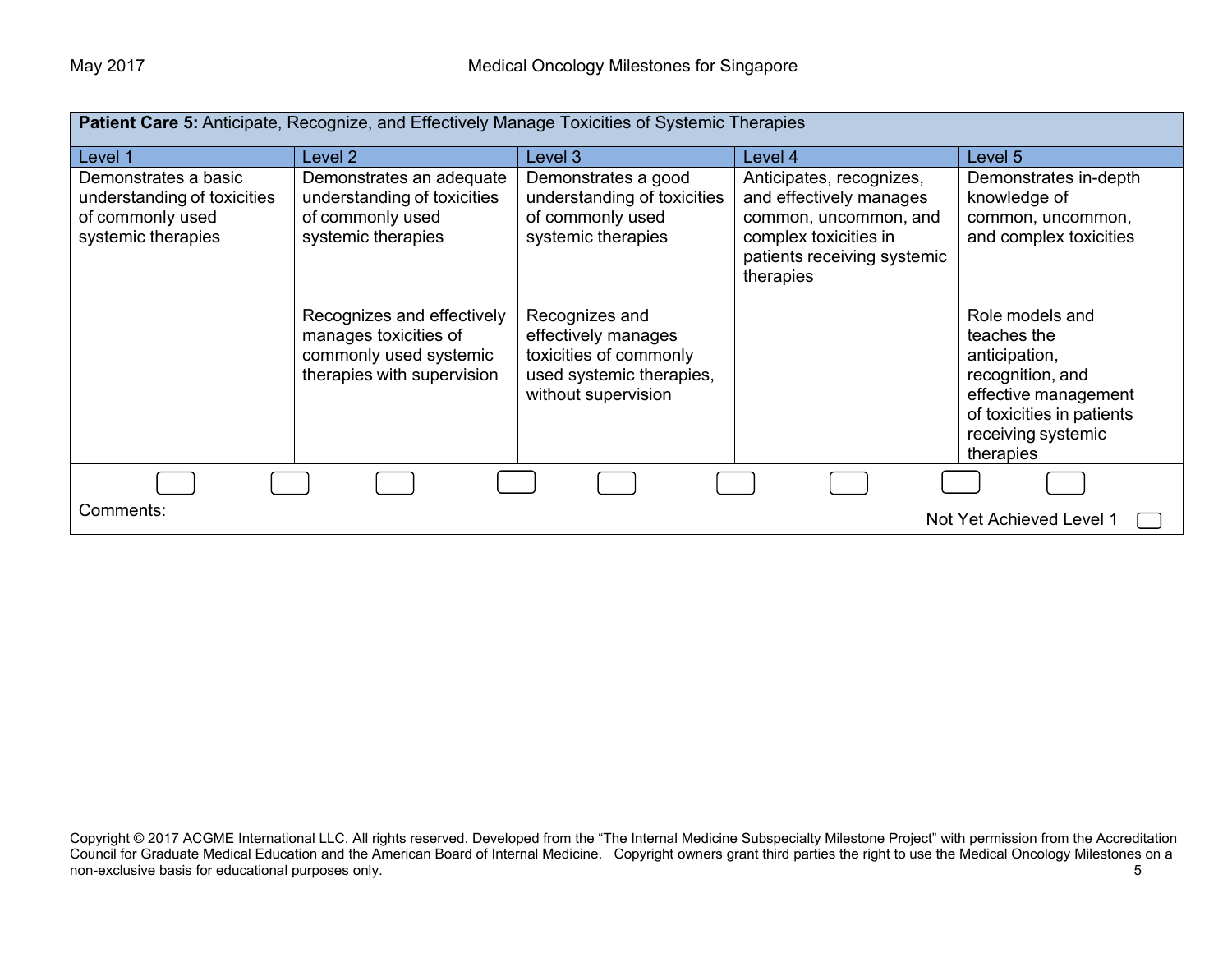| Patient Care 5: Anticipate, Recognize, and Effectively Manage Toxicities of Systemic Therapies |                                                                                                                                                                                                                  |                                                                                                                                                                                                                    |                                                                                                                                                   |                                                                                                                                                                                                                                        |
|------------------------------------------------------------------------------------------------|------------------------------------------------------------------------------------------------------------------------------------------------------------------------------------------------------------------|--------------------------------------------------------------------------------------------------------------------------------------------------------------------------------------------------------------------|---------------------------------------------------------------------------------------------------------------------------------------------------|----------------------------------------------------------------------------------------------------------------------------------------------------------------------------------------------------------------------------------------|
| Level 1                                                                                        | Level 2                                                                                                                                                                                                          | Level 3                                                                                                                                                                                                            | Level 4                                                                                                                                           | Level 5                                                                                                                                                                                                                                |
| Demonstrates a basic<br>understanding of toxicities<br>of commonly used<br>systemic therapies  | Demonstrates an adequate<br>understanding of toxicities<br>of commonly used<br>systemic therapies<br>Recognizes and effectively<br>manages toxicities of<br>commonly used systemic<br>therapies with supervision | Demonstrates a good<br>understanding of toxicities<br>of commonly used<br>systemic therapies<br>Recognizes and<br>effectively manages<br>toxicities of commonly<br>used systemic therapies,<br>without supervision | Anticipates, recognizes,<br>and effectively manages<br>common, uncommon, and<br>complex toxicities in<br>patients receiving systemic<br>therapies | Demonstrates in-depth<br>knowledge of<br>common, uncommon,<br>and complex toxicities<br>Role models and<br>teaches the<br>anticipation,<br>recognition, and<br>effective management<br>of toxicities in patients<br>receiving systemic |
|                                                                                                |                                                                                                                                                                                                                  |                                                                                                                                                                                                                    |                                                                                                                                                   | therapies                                                                                                                                                                                                                              |
| Comments:                                                                                      |                                                                                                                                                                                                                  |                                                                                                                                                                                                                    |                                                                                                                                                   | Not Yet Achieved Level 1                                                                                                                                                                                                               |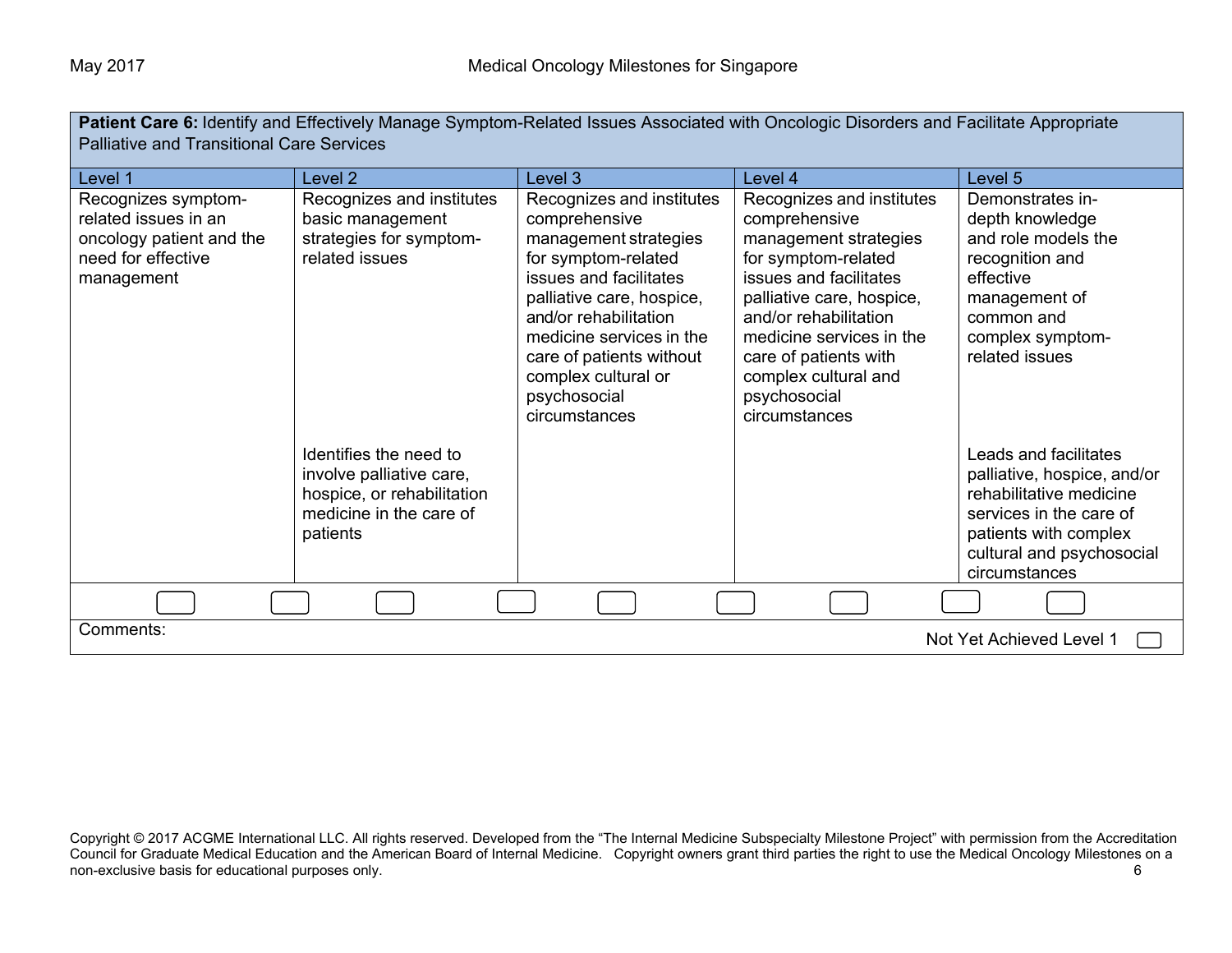**Patient Care 6:** Identify and Effectively Manage Symptom-Related Issues Associated with Oncologic Disorders and Facilitate Appropriate Palliative and Transitional Care Services

| Level 1                  | Level <sub>2</sub>         | Level 3                   | Level 4                   | Level 5                     |
|--------------------------|----------------------------|---------------------------|---------------------------|-----------------------------|
|                          |                            |                           |                           |                             |
| Recognizes symptom-      | Recognizes and institutes  | Recognizes and institutes | Recognizes and institutes | Demonstrates in-            |
| related issues in an     | basic management           | comprehensive             | comprehensive             | depth knowledge             |
| oncology patient and the | strategies for symptom-    | management strategies     | management strategies     | and role models the         |
| need for effective       | related issues             | for symptom-related       | for symptom-related       | recognition and             |
| management               |                            | issues and facilitates    | issues and facilitates    | effective                   |
|                          |                            | palliative care, hospice, | palliative care, hospice, | management of               |
|                          |                            | and/or rehabilitation     | and/or rehabilitation     | common and                  |
|                          |                            | medicine services in the  | medicine services in the  | complex symptom-            |
|                          |                            | care of patients without  | care of patients with     | related issues              |
|                          |                            | complex cultural or       | complex cultural and      |                             |
|                          |                            | psychosocial              | psychosocial              |                             |
|                          |                            | circumstances             | circumstances             |                             |
|                          |                            |                           |                           |                             |
|                          | Identifies the need to     |                           |                           |                             |
|                          |                            |                           |                           | Leads and facilitates       |
|                          | involve palliative care,   |                           |                           | palliative, hospice, and/or |
|                          | hospice, or rehabilitation |                           |                           | rehabilitative medicine     |
|                          | medicine in the care of    |                           |                           | services in the care of     |
|                          | patients                   |                           |                           | patients with complex       |
|                          |                            |                           |                           | cultural and psychosocial   |
|                          |                            |                           |                           | circumstances               |
|                          |                            |                           |                           |                             |
|                          |                            |                           |                           |                             |
| Comments:                |                            |                           |                           | Not Yet Achieved Level 1    |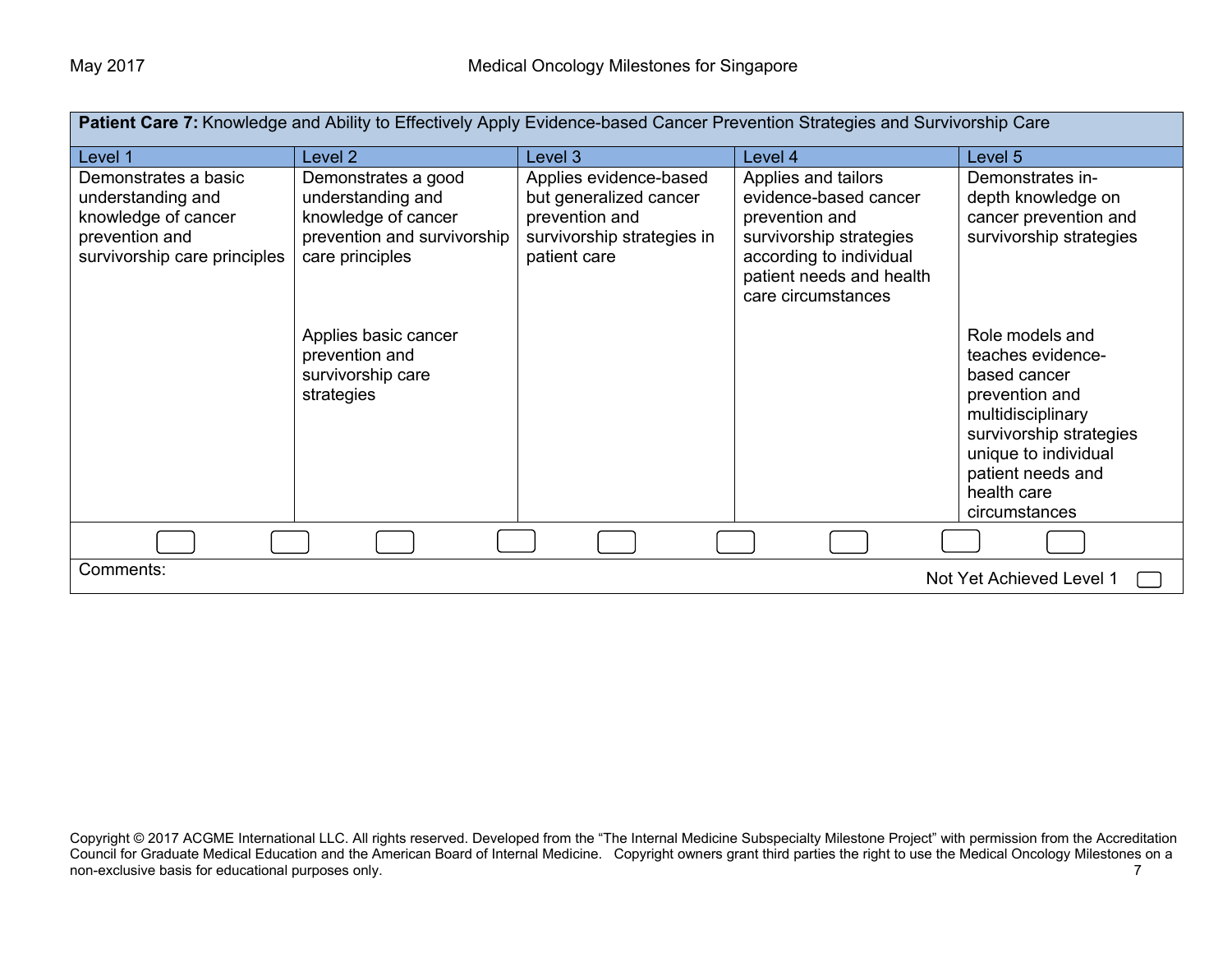| Patient Care 7: Knowledge and Ability to Effectively Apply Evidence-based Cancer Prevention Strategies and Survivorship Care |                                                                                                                                                                                                |                                                                                                                  |                                                                                                                                                                        |                                                                                                                                                                                           |
|------------------------------------------------------------------------------------------------------------------------------|------------------------------------------------------------------------------------------------------------------------------------------------------------------------------------------------|------------------------------------------------------------------------------------------------------------------|------------------------------------------------------------------------------------------------------------------------------------------------------------------------|-------------------------------------------------------------------------------------------------------------------------------------------------------------------------------------------|
| Level 1                                                                                                                      | Level <sub>2</sub>                                                                                                                                                                             | Level 3                                                                                                          | Level 4                                                                                                                                                                | Level 5                                                                                                                                                                                   |
| Demonstrates a basic<br>understanding and<br>knowledge of cancer<br>prevention and<br>survivorship care principles           | Demonstrates a good<br>understanding and<br>knowledge of cancer<br>prevention and survivorship<br>care principles<br>Applies basic cancer<br>prevention and<br>survivorship care<br>strategies | Applies evidence-based<br>but generalized cancer<br>prevention and<br>survivorship strategies in<br>patient care | Applies and tailors<br>evidence-based cancer<br>prevention and<br>survivorship strategies<br>according to individual<br>patient needs and health<br>care circumstances | Demonstrates in-<br>depth knowledge on<br>cancer prevention and<br>survivorship strategies<br>Role models and<br>teaches evidence-<br>based cancer<br>prevention and<br>multidisciplinary |
|                                                                                                                              |                                                                                                                                                                                                |                                                                                                                  |                                                                                                                                                                        | survivorship strategies<br>unique to individual<br>patient needs and<br>health care<br>circumstances                                                                                      |
|                                                                                                                              |                                                                                                                                                                                                |                                                                                                                  |                                                                                                                                                                        |                                                                                                                                                                                           |
| Comments:<br>Not Yet Achieved Level 1                                                                                        |                                                                                                                                                                                                |                                                                                                                  |                                                                                                                                                                        |                                                                                                                                                                                           |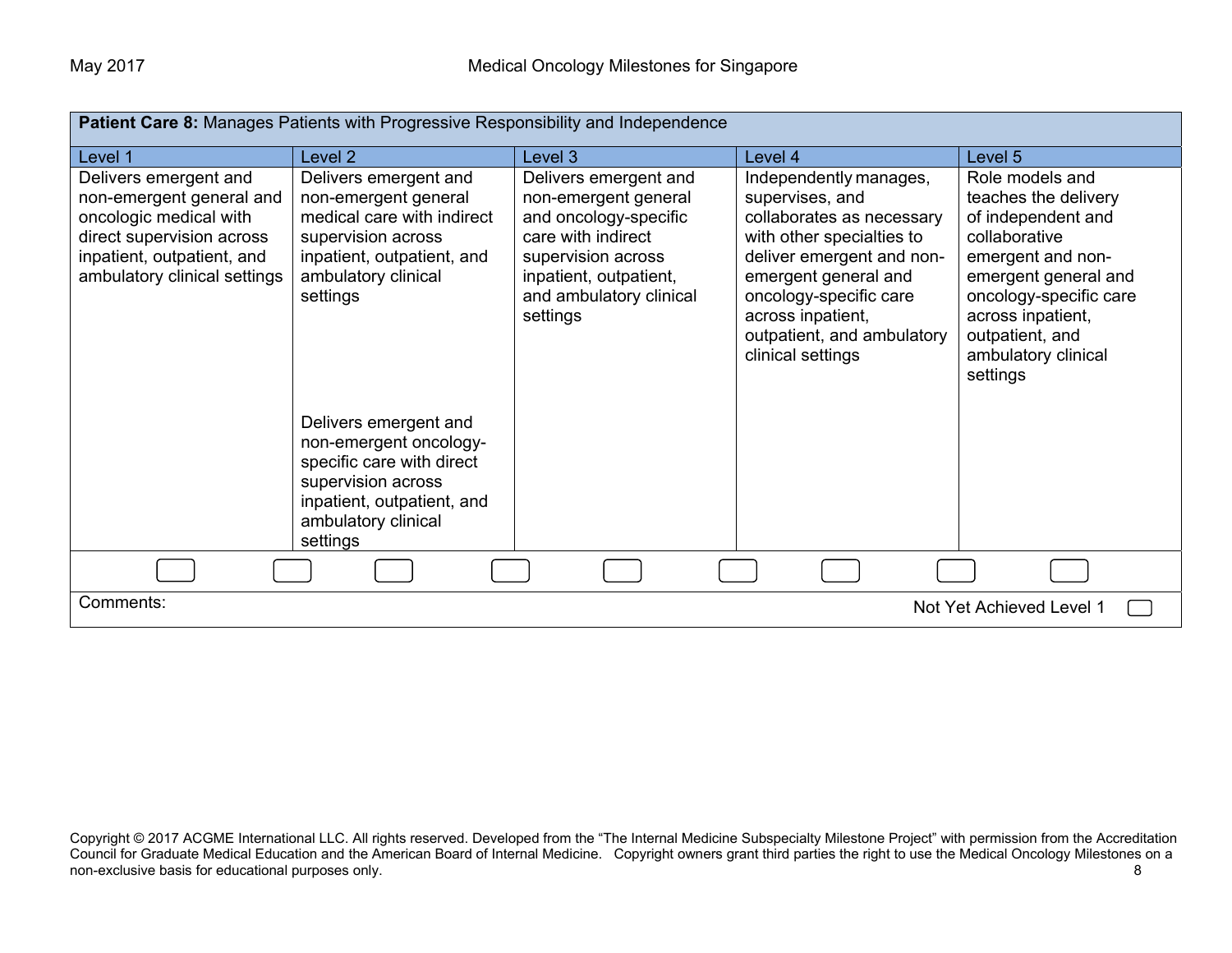| <b>Patient Care 8: Manages Patients with Progressive Responsibility and Independence</b> |                                                  |                                             |                                                        |                                     |
|------------------------------------------------------------------------------------------|--------------------------------------------------|---------------------------------------------|--------------------------------------------------------|-------------------------------------|
| Level 1                                                                                  | Level 2                                          | Level 3                                     | Level 4                                                | Level 5                             |
| Delivers emergent and                                                                    | Delivers emergent and                            | Delivers emergent and                       | Independently manages,                                 | Role models and                     |
| non-emergent general and                                                                 | non-emergent general                             | non-emergent general                        | supervises, and                                        | teaches the delivery                |
| oncologic medical with<br>direct supervision across                                      | medical care with indirect<br>supervision across | and oncology-specific<br>care with indirect | collaborates as necessary<br>with other specialties to | of independent and<br>collaborative |
| inpatient, outpatient, and                                                               | inpatient, outpatient, and                       | supervision across                          | deliver emergent and non-                              | emergent and non-                   |
| ambulatory clinical settings                                                             | ambulatory clinical                              | inpatient, outpatient,                      | emergent general and                                   | emergent general and                |
|                                                                                          | settings                                         | and ambulatory clinical                     | oncology-specific care                                 | oncology-specific care              |
|                                                                                          |                                                  | settings                                    | across inpatient,                                      | across inpatient,                   |
|                                                                                          |                                                  |                                             | outpatient, and ambulatory                             | outpatient, and                     |
|                                                                                          |                                                  |                                             | clinical settings                                      | ambulatory clinical<br>settings     |
|                                                                                          |                                                  |                                             |                                                        |                                     |
|                                                                                          | Delivers emergent and                            |                                             |                                                        |                                     |
|                                                                                          | non-emergent oncology-                           |                                             |                                                        |                                     |
|                                                                                          | specific care with direct                        |                                             |                                                        |                                     |
|                                                                                          | supervision across                               |                                             |                                                        |                                     |
|                                                                                          | inpatient, outpatient, and                       |                                             |                                                        |                                     |
|                                                                                          | ambulatory clinical                              |                                             |                                                        |                                     |
|                                                                                          | settings                                         |                                             |                                                        |                                     |
|                                                                                          |                                                  |                                             |                                                        |                                     |
| Comments:<br>Not Yet Achieved Level 1                                                    |                                                  |                                             |                                                        |                                     |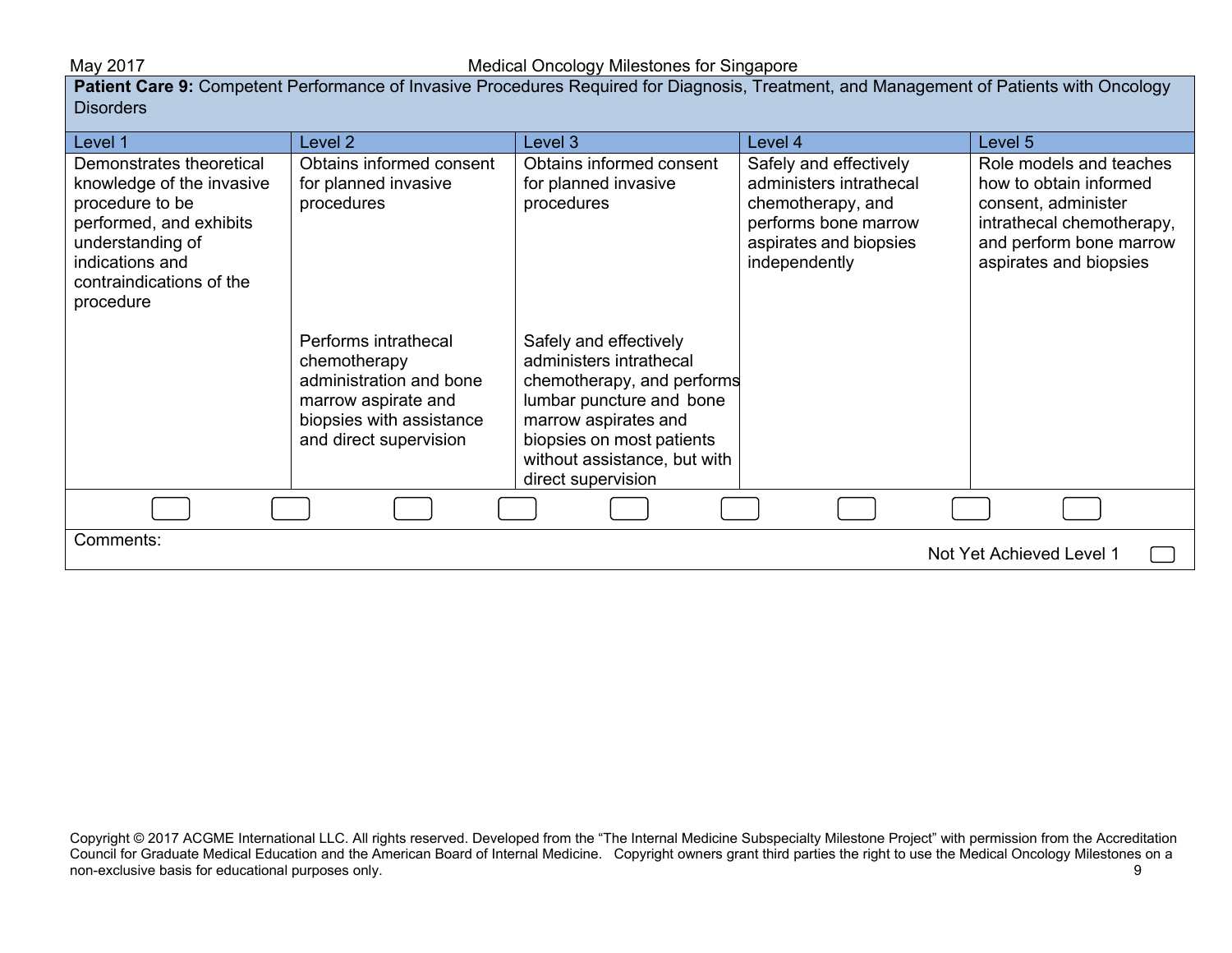**Patient Care 9:** Competent Performance of Invasive Procedures Required for Diagnosis, Treatment, and Management of Patients with Oncology **Disorders** 

| Level 1                               | Level 2                                        | Level 3                                                | Level 4                                 | Level 5                                           |
|---------------------------------------|------------------------------------------------|--------------------------------------------------------|-----------------------------------------|---------------------------------------------------|
| Demonstrates theoretical              | Obtains informed consent                       | Obtains informed consent                               | Safely and effectively                  | Role models and teaches                           |
| knowledge of the invasive             | for planned invasive                           | for planned invasive                                   | administers intrathecal                 | how to obtain informed                            |
| procedure to be                       | procedures                                     | procedures                                             | chemotherapy, and                       | consent, administer                               |
| performed, and exhibits               |                                                |                                                        | performs bone marrow                    | intrathecal chemotherapy,                         |
| understanding of<br>indications and   |                                                |                                                        | aspirates and biopsies<br>independently | and perform bone marrow<br>aspirates and biopsies |
| contraindications of the              |                                                |                                                        |                                         |                                                   |
| procedure                             |                                                |                                                        |                                         |                                                   |
|                                       |                                                |                                                        |                                         |                                                   |
|                                       | Performs intrathecal                           | Safely and effectively                                 |                                         |                                                   |
|                                       | chemotherapy                                   | administers intrathecal                                |                                         |                                                   |
|                                       | administration and bone<br>marrow aspirate and | chemotherapy, and performs<br>lumbar puncture and bone |                                         |                                                   |
|                                       | biopsies with assistance                       | marrow aspirates and                                   |                                         |                                                   |
|                                       | and direct supervision                         | biopsies on most patients                              |                                         |                                                   |
|                                       |                                                | without assistance, but with                           |                                         |                                                   |
|                                       |                                                | direct supervision                                     |                                         |                                                   |
|                                       |                                                |                                                        |                                         |                                                   |
| Comments:<br>Not Yet Achieved Level 1 |                                                |                                                        |                                         |                                                   |
|                                       |                                                |                                                        |                                         |                                                   |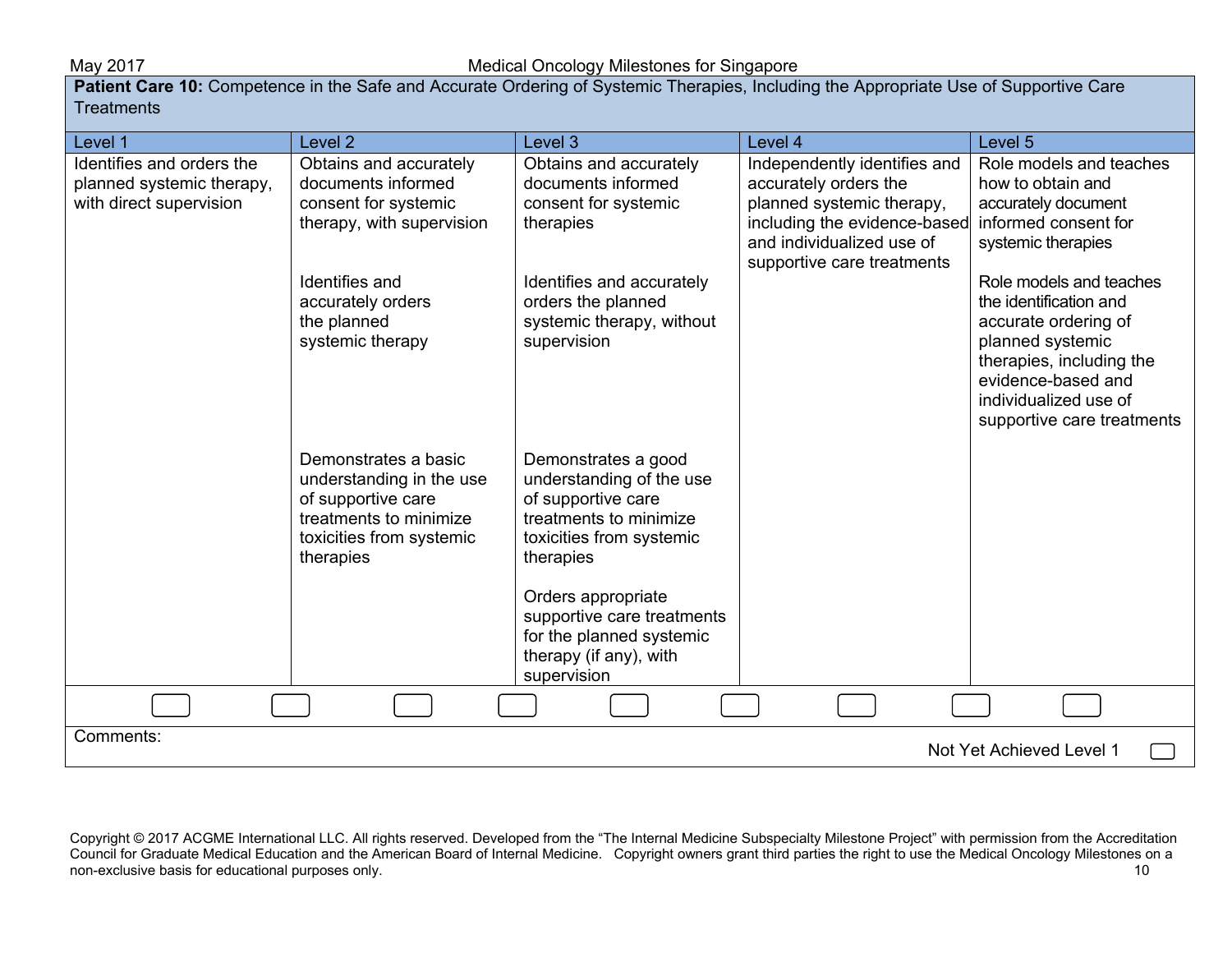**Patient Care 10:** Competence in the Safe and Accurate Ordering of Systemic Therapies, Including the Appropriate Use of Supportive Care **Treatments** 

| Level 1                   | Level <sub>2</sub>        | Level 3                    | Level 4                      | Level 5                                      |
|---------------------------|---------------------------|----------------------------|------------------------------|----------------------------------------------|
| Identifies and orders the | Obtains and accurately    | Obtains and accurately     | Independently identifies and | Role models and teaches                      |
| planned systemic therapy, | documents informed        | documents informed         | accurately orders the        | how to obtain and                            |
| with direct supervision   | consent for systemic      | consent for systemic       | planned systemic therapy,    | accurately document                          |
|                           | therapy, with supervision | therapies                  | including the evidence-based | informed consent for                         |
|                           |                           |                            | and individualized use of    | systemic therapies                           |
|                           |                           |                            | supportive care treatments   |                                              |
|                           | Identifies and            | Identifies and accurately  |                              | Role models and teaches                      |
|                           | accurately orders         | orders the planned         |                              | the identification and                       |
|                           | the planned               | systemic therapy, without  |                              | accurate ordering of                         |
|                           | systemic therapy          | supervision                |                              | planned systemic<br>therapies, including the |
|                           |                           |                            |                              | evidence-based and                           |
|                           |                           |                            |                              | individualized use of                        |
|                           |                           |                            |                              | supportive care treatments                   |
|                           |                           |                            |                              |                                              |
|                           | Demonstrates a basic      | Demonstrates a good        |                              |                                              |
|                           | understanding in the use  | understanding of the use   |                              |                                              |
|                           | of supportive care        | of supportive care         |                              |                                              |
|                           | treatments to minimize    | treatments to minimize     |                              |                                              |
|                           | toxicities from systemic  | toxicities from systemic   |                              |                                              |
|                           | therapies                 | therapies                  |                              |                                              |
|                           |                           |                            |                              |                                              |
|                           |                           | Orders appropriate         |                              |                                              |
|                           |                           | supportive care treatments |                              |                                              |
|                           |                           | for the planned systemic   |                              |                                              |
|                           |                           | therapy (if any), with     |                              |                                              |
|                           |                           | supervision                |                              |                                              |
|                           |                           |                            |                              |                                              |
| Comments:                 |                           |                            |                              | Not Yet Achieved Level 1                     |
|                           |                           |                            |                              |                                              |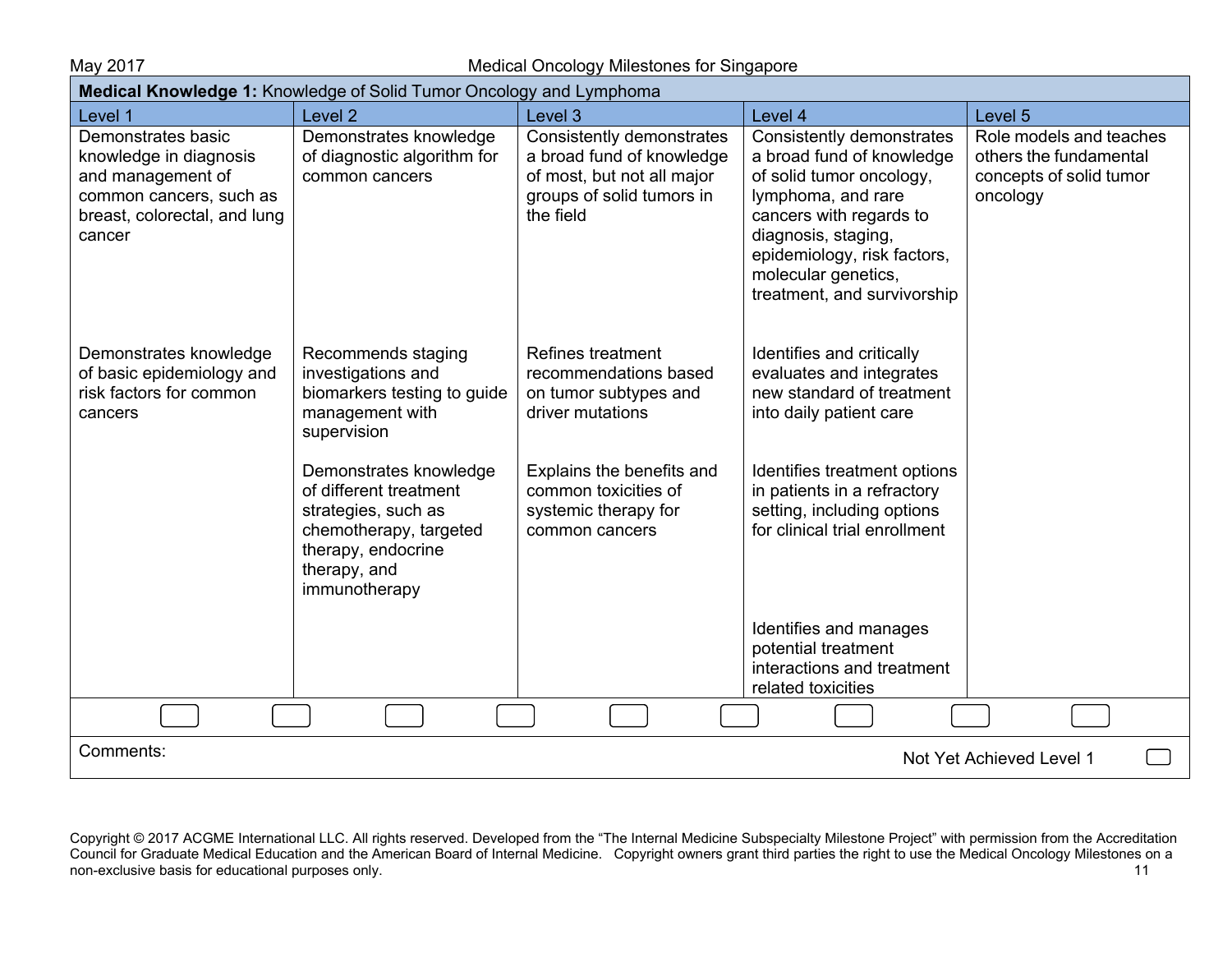May 2017 Medical Oncology Milestones for Singapore

| Medical Knowledge 1: Knowledge of Solid Tumor Oncology and Lymphoma                                                                    |                                                                                                                                                               |                                                                                                                                              |                                                                                                                                                                                                                                                 |                                                                                          |  |
|----------------------------------------------------------------------------------------------------------------------------------------|---------------------------------------------------------------------------------------------------------------------------------------------------------------|----------------------------------------------------------------------------------------------------------------------------------------------|-------------------------------------------------------------------------------------------------------------------------------------------------------------------------------------------------------------------------------------------------|------------------------------------------------------------------------------------------|--|
| Level 1                                                                                                                                | Level <sub>2</sub>                                                                                                                                            | Level 3                                                                                                                                      | Level 4                                                                                                                                                                                                                                         | Level 5                                                                                  |  |
| Demonstrates basic<br>knowledge in diagnosis<br>and management of<br>common cancers, such as<br>breast, colorectal, and lung<br>cancer | Demonstrates knowledge<br>of diagnostic algorithm for<br>common cancers                                                                                       | Consistently demonstrates<br>a broad fund of knowledge<br>of most, but not all major<br>groups of solid tumors in<br>the field               | Consistently demonstrates<br>a broad fund of knowledge<br>of solid tumor oncology,<br>lymphoma, and rare<br>cancers with regards to<br>diagnosis, staging,<br>epidemiology, risk factors,<br>molecular genetics,<br>treatment, and survivorship | Role models and teaches<br>others the fundamental<br>concepts of solid tumor<br>oncology |  |
| Demonstrates knowledge<br>of basic epidemiology and<br>risk factors for common<br>cancers                                              | Recommends staging<br>investigations and<br>biomarkers testing to guide<br>management with<br>supervision<br>Demonstrates knowledge<br>of different treatment | Refines treatment<br>recommendations based<br>on tumor subtypes and<br>driver mutations<br>Explains the benefits and<br>common toxicities of | Identifies and critically<br>evaluates and integrates<br>new standard of treatment<br>into daily patient care<br>Identifies treatment options<br>in patients in a refractory                                                                    |                                                                                          |  |
|                                                                                                                                        | strategies, such as<br>chemotherapy, targeted<br>therapy, endocrine<br>therapy, and<br>immunotherapy                                                          | systemic therapy for<br>common cancers                                                                                                       | setting, including options<br>for clinical trial enrollment<br>Identifies and manages<br>potential treatment<br>interactions and treatment                                                                                                      |                                                                                          |  |
|                                                                                                                                        |                                                                                                                                                               |                                                                                                                                              | related toxicities                                                                                                                                                                                                                              |                                                                                          |  |
|                                                                                                                                        |                                                                                                                                                               |                                                                                                                                              |                                                                                                                                                                                                                                                 |                                                                                          |  |
| Comments:                                                                                                                              |                                                                                                                                                               |                                                                                                                                              |                                                                                                                                                                                                                                                 | Not Yet Achieved Level 1                                                                 |  |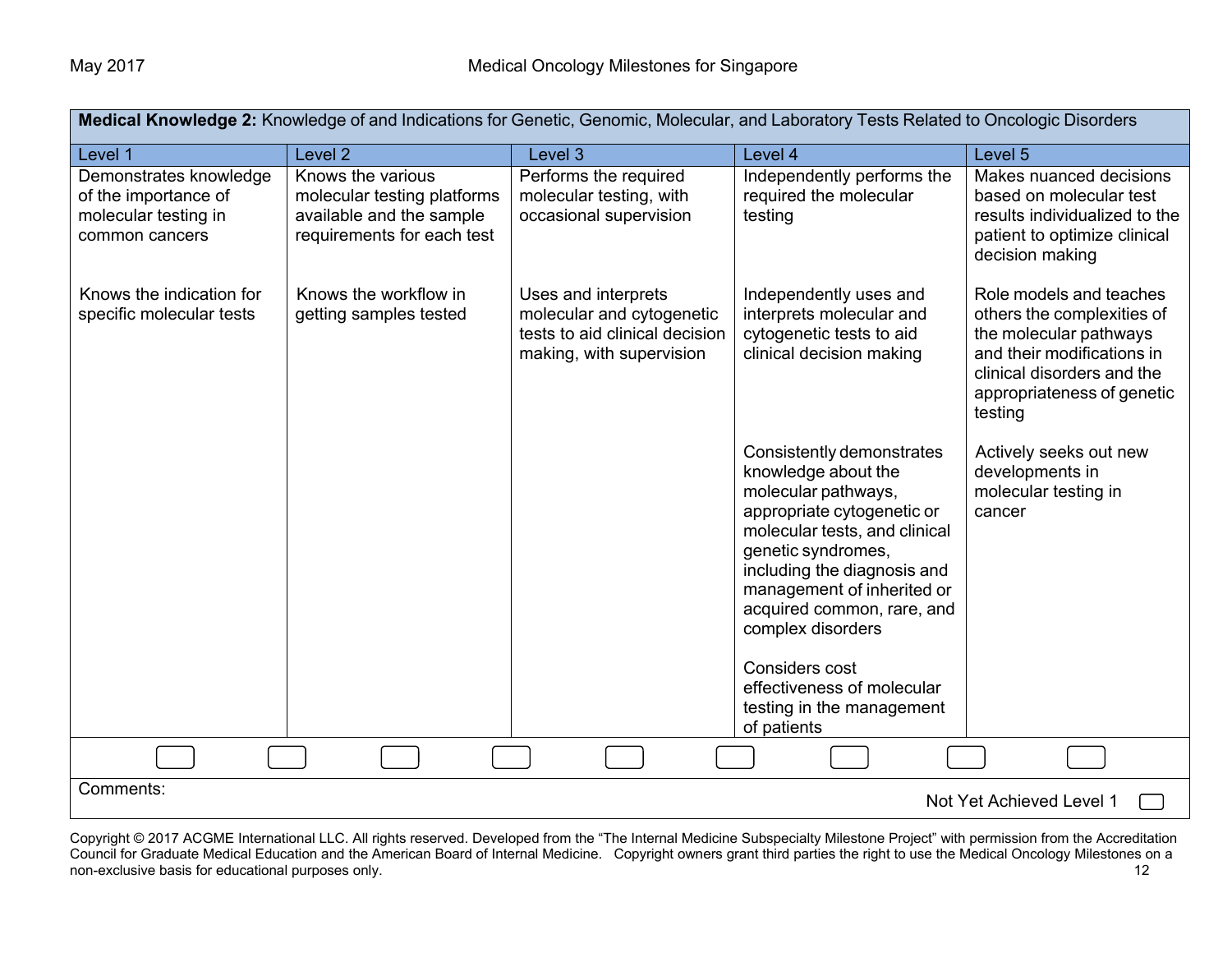| Medical Knowledge 2: Knowledge of and Indications for Genetic, Genomic, Molecular, and Laboratory Tests Related to Oncologic Disorders |                                                                                                            |                                                                                                                |                                                                                                                                                                                                                                                                                                |                                                                                                                                                                                      |
|----------------------------------------------------------------------------------------------------------------------------------------|------------------------------------------------------------------------------------------------------------|----------------------------------------------------------------------------------------------------------------|------------------------------------------------------------------------------------------------------------------------------------------------------------------------------------------------------------------------------------------------------------------------------------------------|--------------------------------------------------------------------------------------------------------------------------------------------------------------------------------------|
| Level 1                                                                                                                                | Level <sub>2</sub>                                                                                         | Level <sub>3</sub>                                                                                             | Level 4                                                                                                                                                                                                                                                                                        | Level 5                                                                                                                                                                              |
| Demonstrates knowledge<br>of the importance of<br>molecular testing in<br>common cancers                                               | Knows the various<br>molecular testing platforms<br>available and the sample<br>requirements for each test | Performs the required<br>molecular testing, with<br>occasional supervision                                     | Independently performs the<br>required the molecular<br>testing                                                                                                                                                                                                                                | Makes nuanced decisions<br>based on molecular test<br>results individualized to the<br>patient to optimize clinical<br>decision making                                               |
| Knows the indication for<br>specific molecular tests                                                                                   | Knows the workflow in<br>getting samples tested                                                            | Uses and interprets<br>molecular and cytogenetic<br>tests to aid clinical decision<br>making, with supervision | Independently uses and<br>interprets molecular and<br>cytogenetic tests to aid<br>clinical decision making                                                                                                                                                                                     | Role models and teaches<br>others the complexities of<br>the molecular pathways<br>and their modifications in<br>clinical disorders and the<br>appropriateness of genetic<br>testing |
|                                                                                                                                        |                                                                                                            |                                                                                                                | Consistently demonstrates<br>knowledge about the<br>molecular pathways,<br>appropriate cytogenetic or<br>molecular tests, and clinical<br>genetic syndromes,<br>including the diagnosis and<br>management of inherited or<br>acquired common, rare, and<br>complex disorders<br>Considers cost | Actively seeks out new<br>developments in<br>molecular testing in<br>cancer                                                                                                          |
|                                                                                                                                        |                                                                                                            |                                                                                                                | effectiveness of molecular<br>testing in the management<br>of patients                                                                                                                                                                                                                         |                                                                                                                                                                                      |
|                                                                                                                                        |                                                                                                            |                                                                                                                |                                                                                                                                                                                                                                                                                                |                                                                                                                                                                                      |
| Comments:                                                                                                                              |                                                                                                            |                                                                                                                |                                                                                                                                                                                                                                                                                                | Not Yet Achieved Level 1                                                                                                                                                             |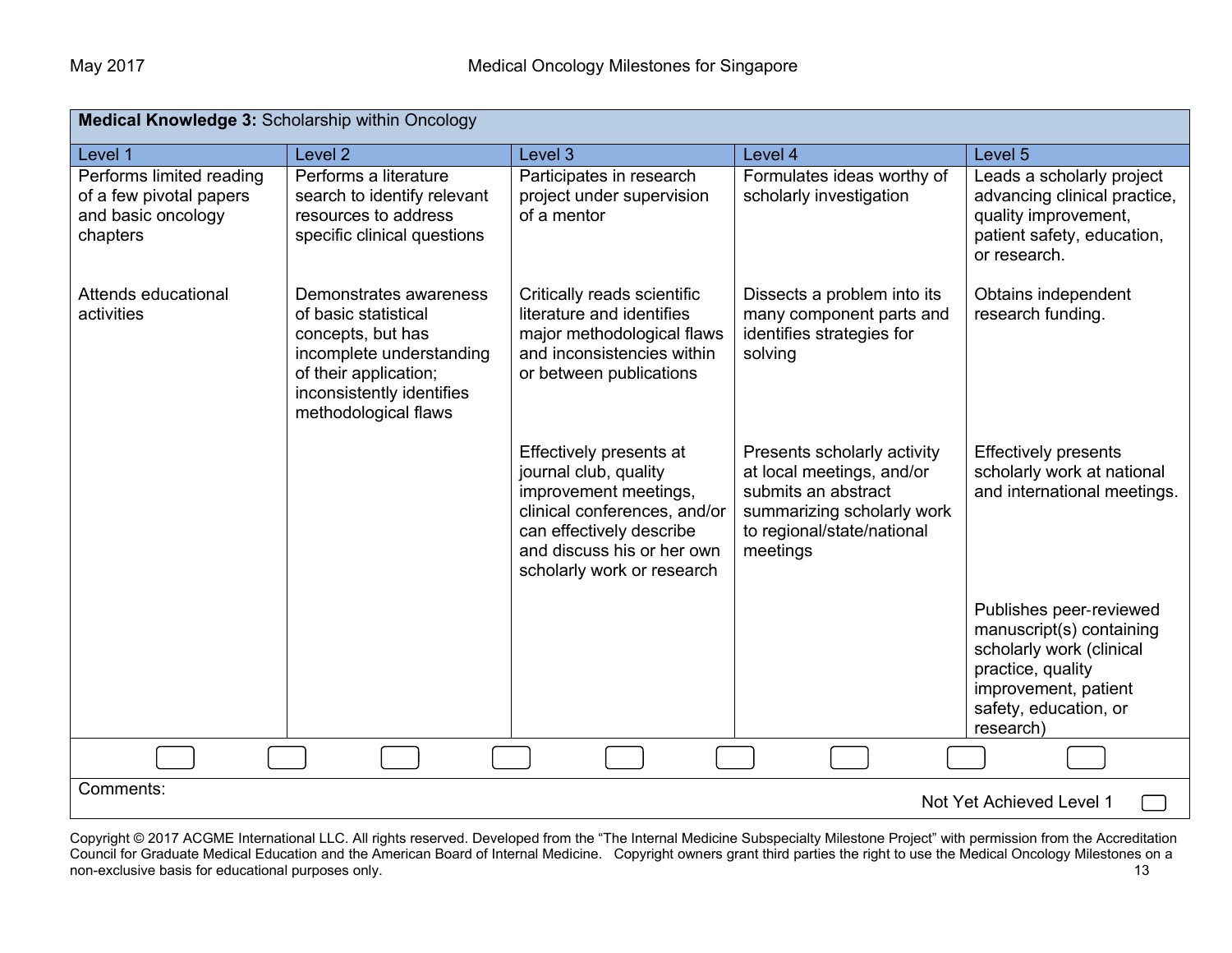| <b>Medical Knowledge 3: Scholarship within Oncology</b>                               |                                                                                                                                                                               |                                                                                                                                                                                                   |                                                                                                                                                         |                                                                                                                                                                    |
|---------------------------------------------------------------------------------------|-------------------------------------------------------------------------------------------------------------------------------------------------------------------------------|---------------------------------------------------------------------------------------------------------------------------------------------------------------------------------------------------|---------------------------------------------------------------------------------------------------------------------------------------------------------|--------------------------------------------------------------------------------------------------------------------------------------------------------------------|
| Level 1                                                                               | Level <sub>2</sub>                                                                                                                                                            | Level <sub>3</sub>                                                                                                                                                                                | Level 4                                                                                                                                                 | Level 5                                                                                                                                                            |
| Performs limited reading<br>of a few pivotal papers<br>and basic oncology<br>chapters | Performs a literature<br>search to identify relevant<br>resources to address<br>specific clinical questions                                                                   | Participates in research<br>project under supervision<br>of a mentor                                                                                                                              | Formulates ideas worthy of<br>scholarly investigation                                                                                                   | Leads a scholarly project<br>advancing clinical practice,<br>quality improvement,<br>patient safety, education,<br>or research.                                    |
| Attends educational<br>activities                                                     | Demonstrates awareness<br>of basic statistical<br>concepts, but has<br>incomplete understanding<br>of their application;<br>inconsistently identifies<br>methodological flaws | Critically reads scientific<br>literature and identifies<br>major methodological flaws<br>and inconsistencies within<br>or between publications                                                   | Dissects a problem into its<br>many component parts and<br>identifies strategies for<br>solving                                                         | Obtains independent<br>research funding.                                                                                                                           |
|                                                                                       |                                                                                                                                                                               | Effectively presents at<br>journal club, quality<br>improvement meetings,<br>clinical conferences, and/or<br>can effectively describe<br>and discuss his or her own<br>scholarly work or research | Presents scholarly activity<br>at local meetings, and/or<br>submits an abstract<br>summarizing scholarly work<br>to regional/state/national<br>meetings | <b>Effectively presents</b><br>scholarly work at national<br>and international meetings.                                                                           |
|                                                                                       |                                                                                                                                                                               |                                                                                                                                                                                                   |                                                                                                                                                         | Publishes peer-reviewed<br>manuscript(s) containing<br>scholarly work (clinical<br>practice, quality<br>improvement, patient<br>safety, education, or<br>research) |
|                                                                                       |                                                                                                                                                                               |                                                                                                                                                                                                   |                                                                                                                                                         |                                                                                                                                                                    |
| Comments:                                                                             |                                                                                                                                                                               |                                                                                                                                                                                                   |                                                                                                                                                         | Not Yet Achieved Level 1                                                                                                                                           |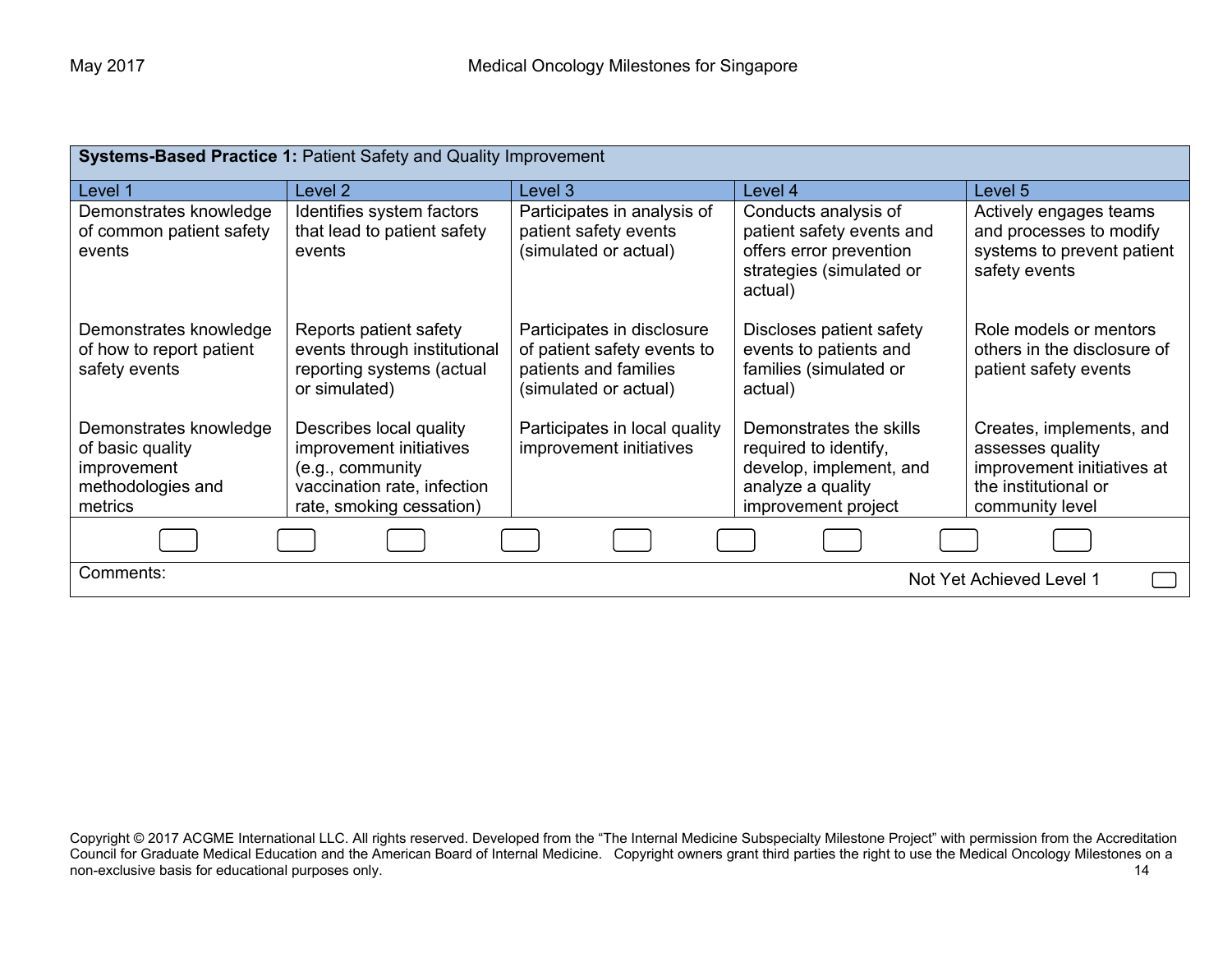| Systems-Based Practice 1: Patient Safety and Quality Improvement                          |                                                                                                                                   |                                                                                                             |                                                                                                                         |                                                                                                                       |
|-------------------------------------------------------------------------------------------|-----------------------------------------------------------------------------------------------------------------------------------|-------------------------------------------------------------------------------------------------------------|-------------------------------------------------------------------------------------------------------------------------|-----------------------------------------------------------------------------------------------------------------------|
| Level 1                                                                                   | Level 2                                                                                                                           | Level 3                                                                                                     | Level 4                                                                                                                 | Level 5                                                                                                               |
| Demonstrates knowledge<br>of common patient safety<br>events                              | Identifies system factors<br>that lead to patient safety<br>events                                                                | Participates in analysis of<br>patient safety events<br>(simulated or actual)                               | Conducts analysis of<br>patient safety events and<br>offers error prevention<br>strategies (simulated or<br>actual)     | Actively engages teams<br>and processes to modify<br>systems to prevent patient<br>safety events                      |
| Demonstrates knowledge<br>of how to report patient<br>safety events                       | Reports patient safety<br>events through institutional<br>reporting systems (actual<br>or simulated)                              | Participates in disclosure<br>of patient safety events to<br>patients and families<br>(simulated or actual) | Discloses patient safety<br>events to patients and<br>families (simulated or<br>actual)                                 | Role models or mentors<br>others in the disclosure of<br>patient safety events                                        |
| Demonstrates knowledge<br>of basic quality<br>improvement<br>methodologies and<br>metrics | Describes local quality<br>improvement initiatives<br>(e.g., community<br>vaccination rate, infection<br>rate, smoking cessation) | Participates in local quality<br>improvement initiatives                                                    | Demonstrates the skills<br>required to identify,<br>develop, implement, and<br>analyze a quality<br>improvement project | Creates, implements, and<br>assesses quality<br>improvement initiatives at<br>the institutional or<br>community level |
|                                                                                           |                                                                                                                                   |                                                                                                             |                                                                                                                         |                                                                                                                       |
| Comments:<br>Not Yet Achieved Level 1                                                     |                                                                                                                                   |                                                                                                             |                                                                                                                         |                                                                                                                       |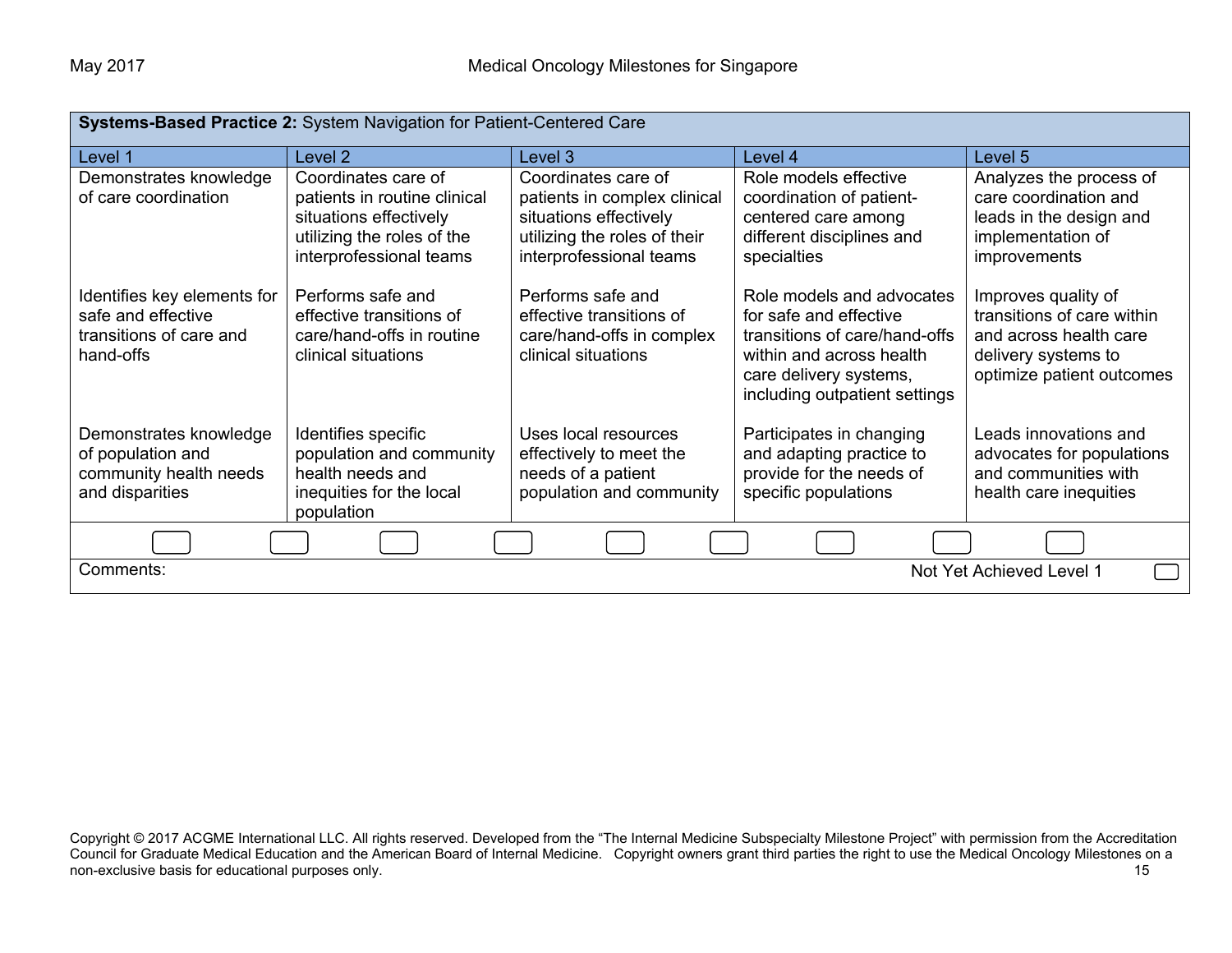| Systems-Based Practice 2: System Navigation for Patient-Centered Care                     |                                                                                                                                        |                                                                                                                                          |                                                                                                                                                                             |                                                                                                                                 |
|-------------------------------------------------------------------------------------------|----------------------------------------------------------------------------------------------------------------------------------------|------------------------------------------------------------------------------------------------------------------------------------------|-----------------------------------------------------------------------------------------------------------------------------------------------------------------------------|---------------------------------------------------------------------------------------------------------------------------------|
| Level 1                                                                                   | Level 2                                                                                                                                | Level 3                                                                                                                                  | Level 4                                                                                                                                                                     | Level 5                                                                                                                         |
| Demonstrates knowledge<br>of care coordination                                            | Coordinates care of<br>patients in routine clinical<br>situations effectively<br>utilizing the roles of the<br>interprofessional teams | Coordinates care of<br>patients in complex clinical<br>situations effectively<br>utilizing the roles of their<br>interprofessional teams | Role models effective<br>coordination of patient-<br>centered care among<br>different disciplines and<br>specialties                                                        | Analyzes the process of<br>care coordination and<br>leads in the design and<br>implementation of<br>improvements                |
| Identifies key elements for<br>safe and effective<br>transitions of care and<br>hand-offs | Performs safe and<br>effective transitions of<br>care/hand-offs in routine<br>clinical situations                                      | Performs safe and<br>effective transitions of<br>care/hand-offs in complex<br>clinical situations                                        | Role models and advocates<br>for safe and effective<br>transitions of care/hand-offs<br>within and across health<br>care delivery systems,<br>including outpatient settings | Improves quality of<br>transitions of care within<br>and across health care<br>delivery systems to<br>optimize patient outcomes |
| Demonstrates knowledge<br>of population and<br>community health needs<br>and disparities  | Identifies specific<br>population and community<br>health needs and<br>inequities for the local<br>population                          | Uses local resources<br>effectively to meet the<br>needs of a patient<br>population and community                                        | Participates in changing<br>and adapting practice to<br>provide for the needs of<br>specific populations                                                                    | Leads innovations and<br>advocates for populations<br>and communities with<br>health care inequities                            |
| Not Yet Achieved Level 1                                                                  |                                                                                                                                        |                                                                                                                                          |                                                                                                                                                                             |                                                                                                                                 |
| Comments:                                                                                 |                                                                                                                                        |                                                                                                                                          |                                                                                                                                                                             |                                                                                                                                 |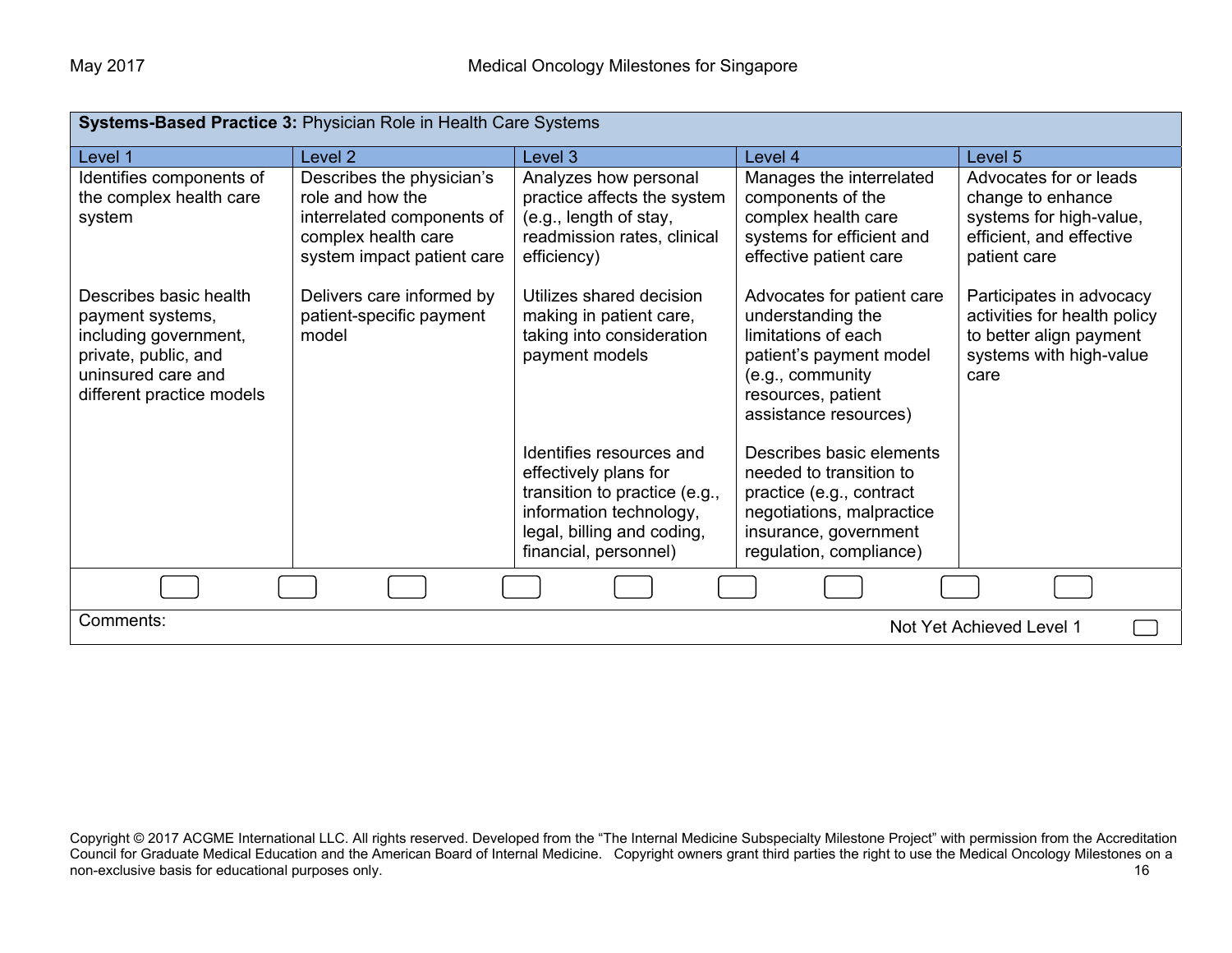| Systems-Based Practice 3: Physician Role in Health Care Systems                                                                                |                                                                                                                                  |                                                                                                                                                                      |                                                                                                                                                                      |                                                                                                                        |
|------------------------------------------------------------------------------------------------------------------------------------------------|----------------------------------------------------------------------------------------------------------------------------------|----------------------------------------------------------------------------------------------------------------------------------------------------------------------|----------------------------------------------------------------------------------------------------------------------------------------------------------------------|------------------------------------------------------------------------------------------------------------------------|
| Level 1                                                                                                                                        | Level <sub>2</sub>                                                                                                               | Level 3                                                                                                                                                              | Level 4                                                                                                                                                              | Level 5                                                                                                                |
| Identifies components of<br>the complex health care<br>system                                                                                  | Describes the physician's<br>role and how the<br>interrelated components of<br>complex health care<br>system impact patient care | Analyzes how personal<br>practice affects the system<br>(e.g., length of stay,<br>readmission rates, clinical<br>efficiency)                                         | Manages the interrelated<br>components of the<br>complex health care<br>systems for efficient and<br>effective patient care                                          | Advocates for or leads<br>change to enhance<br>systems for high-value,<br>efficient, and effective<br>patient care     |
| Describes basic health<br>payment systems,<br>including government,<br>private, public, and<br>uninsured care and<br>different practice models | Delivers care informed by<br>patient-specific payment<br>model                                                                   | Utilizes shared decision<br>making in patient care,<br>taking into consideration<br>payment models                                                                   | Advocates for patient care<br>understanding the<br>limitations of each<br>patient's payment model<br>(e.g., community<br>resources, patient<br>assistance resources) | Participates in advocacy<br>activities for health policy<br>to better align payment<br>systems with high-value<br>care |
|                                                                                                                                                |                                                                                                                                  | Identifies resources and<br>effectively plans for<br>transition to practice (e.g.,<br>information technology,<br>legal, billing and coding,<br>financial, personnel) | Describes basic elements<br>needed to transition to<br>practice (e.g., contract<br>negotiations, malpractice<br>insurance, government<br>regulation, compliance)     |                                                                                                                        |
|                                                                                                                                                |                                                                                                                                  |                                                                                                                                                                      |                                                                                                                                                                      |                                                                                                                        |
| Comments:<br>Not Yet Achieved Level 1                                                                                                          |                                                                                                                                  |                                                                                                                                                                      |                                                                                                                                                                      |                                                                                                                        |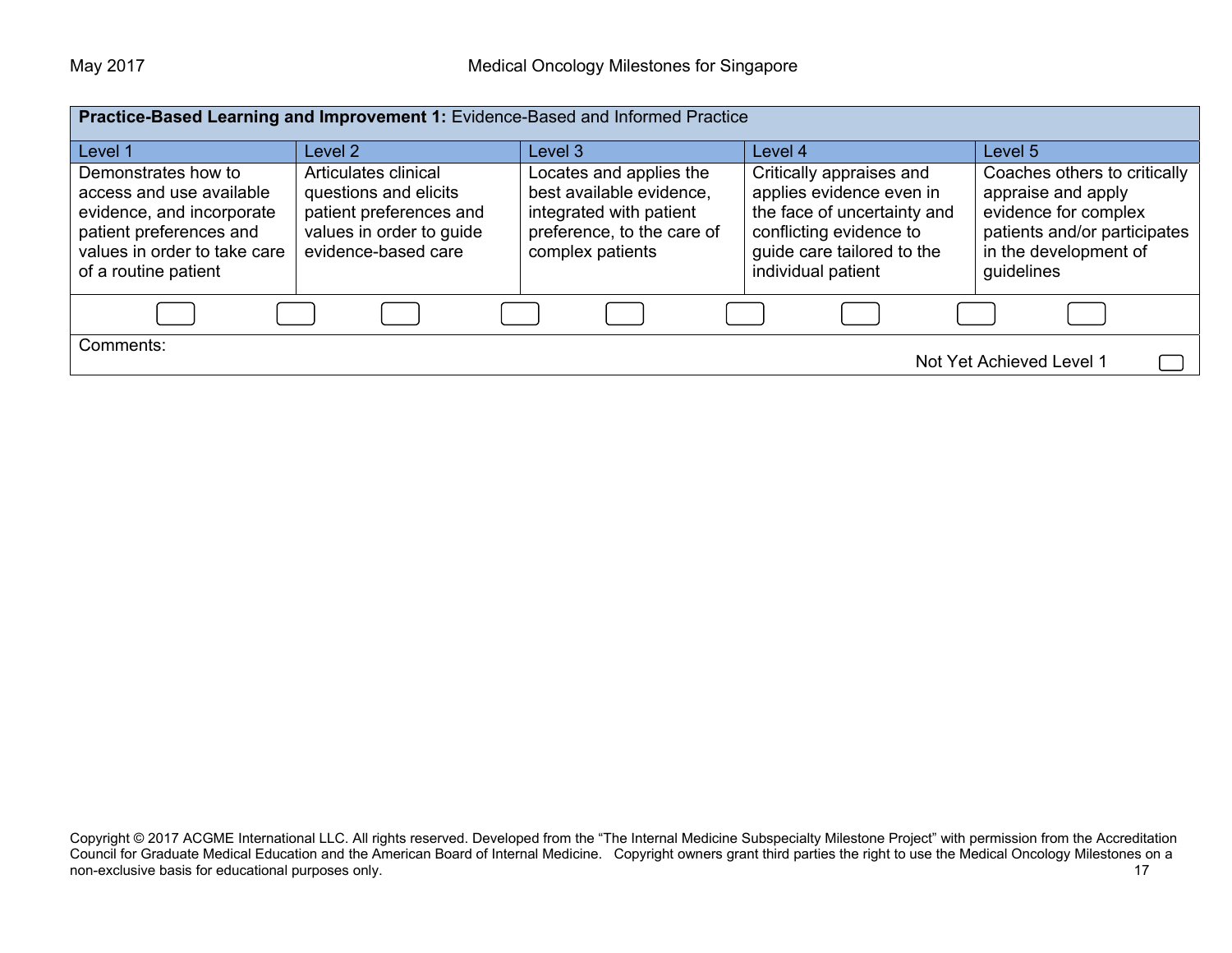|                                                                                                                                                                 | Practice-Based Learning and Improvement 1: Evidence-Based and Informed Practice                                             |                                                                                                                                  |                                                                                                                                                                    |                                                                                                                                                   |  |
|-----------------------------------------------------------------------------------------------------------------------------------------------------------------|-----------------------------------------------------------------------------------------------------------------------------|----------------------------------------------------------------------------------------------------------------------------------|--------------------------------------------------------------------------------------------------------------------------------------------------------------------|---------------------------------------------------------------------------------------------------------------------------------------------------|--|
| Level 1                                                                                                                                                         | Level 2                                                                                                                     | Level 3                                                                                                                          | Level 4                                                                                                                                                            | Level 5                                                                                                                                           |  |
| Demonstrates how to<br>access and use available<br>evidence, and incorporate<br>patient preferences and<br>values in order to take care<br>of a routine patient | Articulates clinical<br>questions and elicits<br>patient preferences and<br>values in order to guide<br>evidence-based care | Locates and applies the<br>best available evidence,<br>integrated with patient<br>preference, to the care of<br>complex patients | Critically appraises and<br>applies evidence even in<br>the face of uncertainty and<br>conflicting evidence to<br>guide care tailored to the<br>individual patient | Coaches others to critically<br>appraise and apply<br>evidence for complex<br>patients and/or participates<br>in the development of<br>guidelines |  |
|                                                                                                                                                                 |                                                                                                                             |                                                                                                                                  |                                                                                                                                                                    |                                                                                                                                                   |  |
| Comments:<br>Not Yet Achieved Level 1                                                                                                                           |                                                                                                                             |                                                                                                                                  |                                                                                                                                                                    |                                                                                                                                                   |  |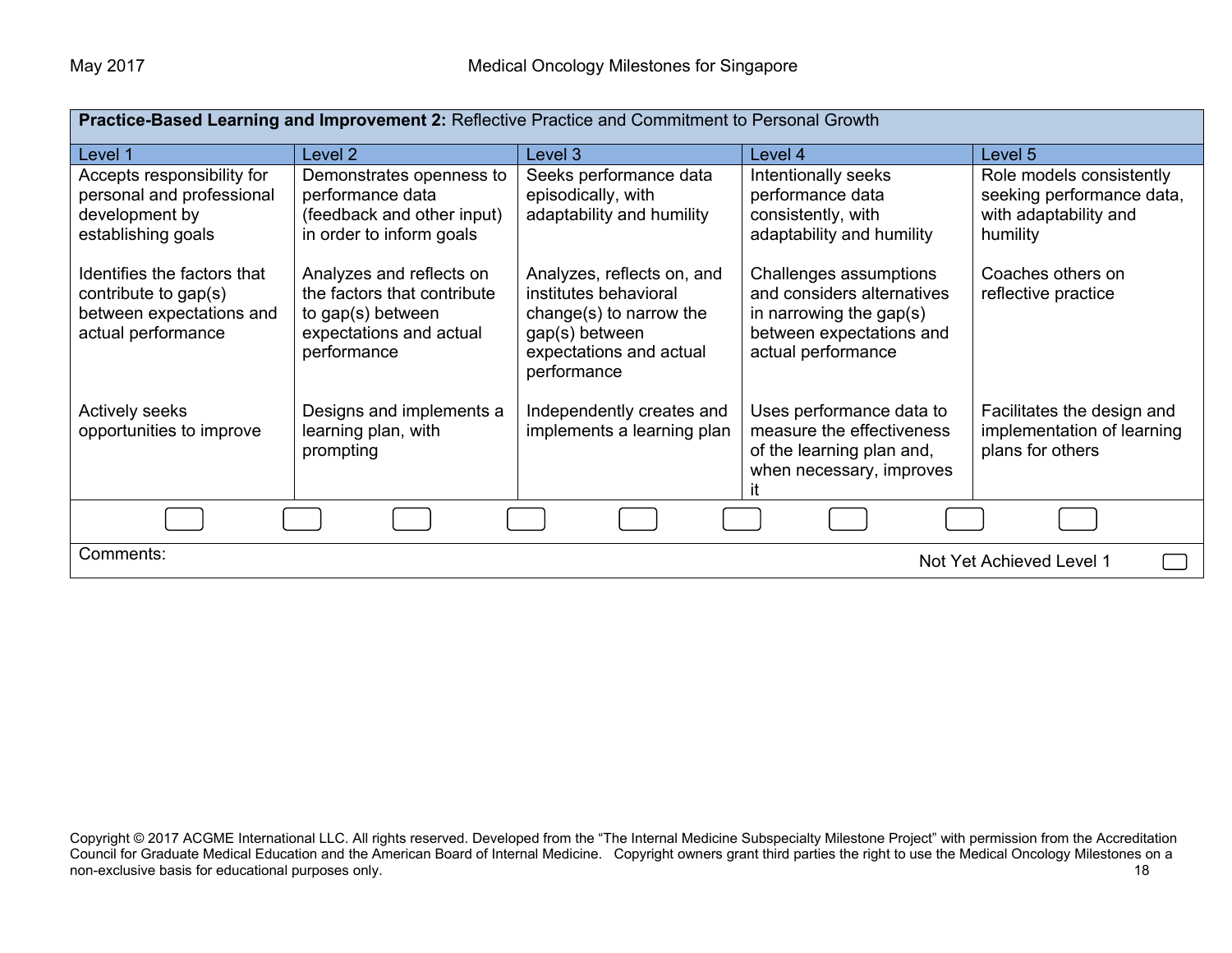| Practice-Based Learning and Improvement 2: Reflective Practice and Commitment to Personal Growth      |                                                                                                                        |                                                                                                                                            |                                                                                                                                      |                                                                                            |  |
|-------------------------------------------------------------------------------------------------------|------------------------------------------------------------------------------------------------------------------------|--------------------------------------------------------------------------------------------------------------------------------------------|--------------------------------------------------------------------------------------------------------------------------------------|--------------------------------------------------------------------------------------------|--|
| Level 1                                                                                               | Level 2                                                                                                                | Level 3                                                                                                                                    | Level 4                                                                                                                              | Level 5                                                                                    |  |
| Accepts responsibility for<br>personal and professional<br>development by<br>establishing goals       | Demonstrates openness to<br>performance data<br>(feedback and other input)<br>in order to inform goals                 | Seeks performance data<br>episodically, with<br>adaptability and humility                                                                  | Intentionally seeks<br>performance data<br>consistently, with<br>adaptability and humility                                           | Role models consistently<br>seeking performance data,<br>with adaptability and<br>humility |  |
| Identifies the factors that<br>contribute to gap(s)<br>between expectations and<br>actual performance | Analyzes and reflects on<br>the factors that contribute<br>to gap(s) between<br>expectations and actual<br>performance | Analyzes, reflects on, and<br>institutes behavioral<br>change(s) to narrow the<br>gap(s) between<br>expectations and actual<br>performance | Challenges assumptions<br>and considers alternatives<br>in narrowing the gap $(s)$<br>between expectations and<br>actual performance | Coaches others on<br>reflective practice                                                   |  |
| <b>Actively seeks</b><br>opportunities to improve                                                     | Designs and implements a<br>learning plan, with<br>prompting                                                           | Independently creates and<br>implements a learning plan                                                                                    | Uses performance data to<br>measure the effectiveness<br>of the learning plan and,<br>when necessary, improves                       | Facilitates the design and<br>implementation of learning<br>plans for others               |  |
|                                                                                                       |                                                                                                                        |                                                                                                                                            |                                                                                                                                      |                                                                                            |  |
| Comments:                                                                                             | Not Yet Achieved Level 1                                                                                               |                                                                                                                                            |                                                                                                                                      |                                                                                            |  |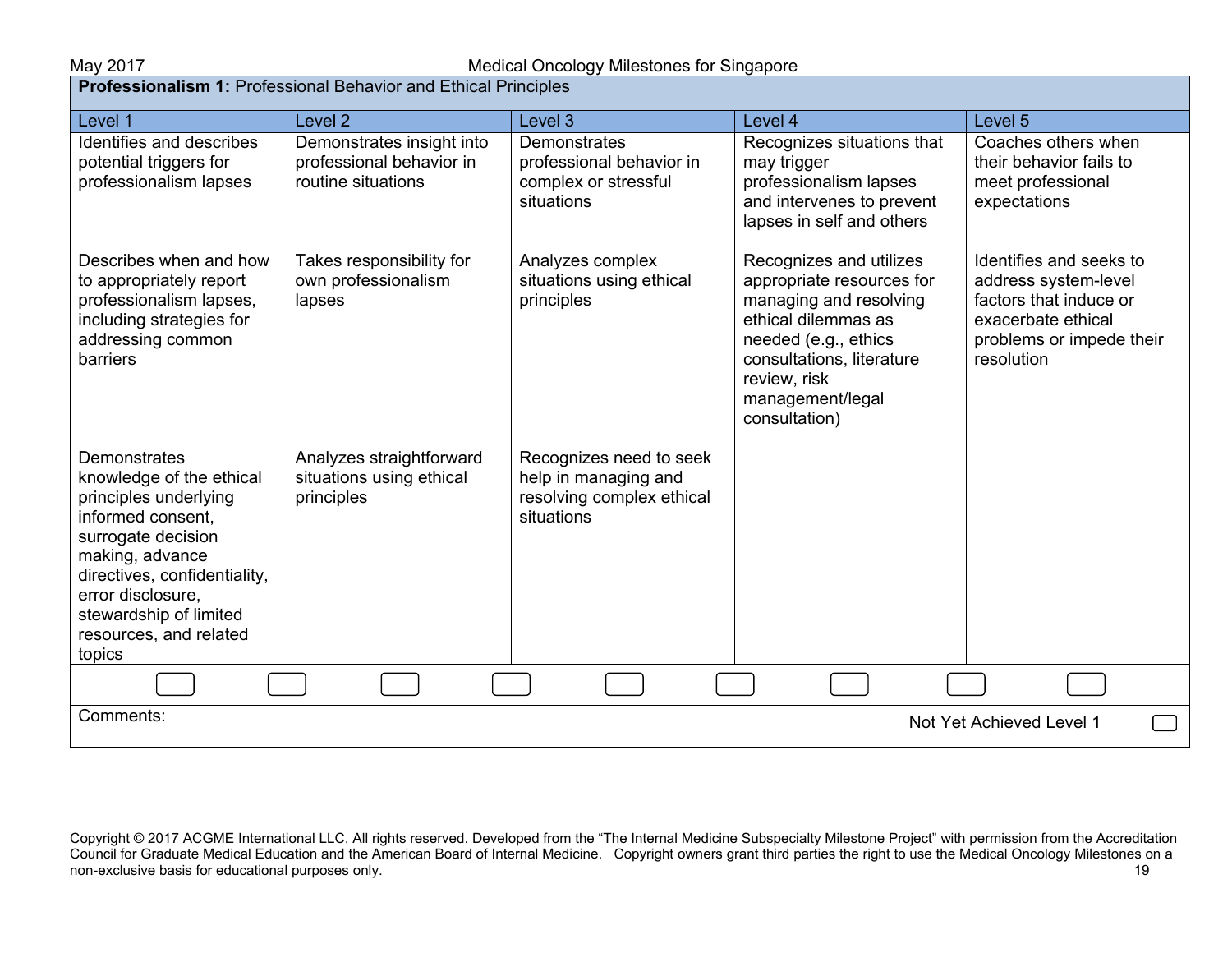**Professionalism 1:** Professional Behavior and Ethical Principles

| Level 1                                                                                                                                                                                                                                                   | Level <sub>2</sub>                                                          | Level <sub>3</sub>                                                                         | Level 4                                                                                                                                                                                                         | Level 5                                                                                                                                   |
|-----------------------------------------------------------------------------------------------------------------------------------------------------------------------------------------------------------------------------------------------------------|-----------------------------------------------------------------------------|--------------------------------------------------------------------------------------------|-----------------------------------------------------------------------------------------------------------------------------------------------------------------------------------------------------------------|-------------------------------------------------------------------------------------------------------------------------------------------|
| Identifies and describes<br>potential triggers for<br>professionalism lapses                                                                                                                                                                              | Demonstrates insight into<br>professional behavior in<br>routine situations | Demonstrates<br>professional behavior in<br>complex or stressful<br>situations             | Recognizes situations that<br>may trigger<br>professionalism lapses<br>and intervenes to prevent<br>lapses in self and others                                                                                   | Coaches others when<br>their behavior fails to<br>meet professional<br>expectations                                                       |
| Describes when and how<br>to appropriately report<br>professionalism lapses,<br>including strategies for<br>addressing common<br>barriers                                                                                                                 | Takes responsibility for<br>own professionalism<br>lapses                   | Analyzes complex<br>situations using ethical<br>principles                                 | Recognizes and utilizes<br>appropriate resources for<br>managing and resolving<br>ethical dilemmas as<br>needed (e.g., ethics<br>consultations, literature<br>review, risk<br>management/legal<br>consultation) | Identifies and seeks to<br>address system-level<br>factors that induce or<br>exacerbate ethical<br>problems or impede their<br>resolution |
| <b>Demonstrates</b><br>knowledge of the ethical<br>principles underlying<br>informed consent.<br>surrogate decision<br>making, advance<br>directives, confidentiality,<br>error disclosure,<br>stewardship of limited<br>resources, and related<br>topics | Analyzes straightforward<br>situations using ethical<br>principles          | Recognizes need to seek<br>help in managing and<br>resolving complex ethical<br>situations |                                                                                                                                                                                                                 |                                                                                                                                           |
|                                                                                                                                                                                                                                                           |                                                                             |                                                                                            |                                                                                                                                                                                                                 |                                                                                                                                           |
| Comments:<br>Not Yet Achieved Level 1                                                                                                                                                                                                                     |                                                                             |                                                                                            |                                                                                                                                                                                                                 |                                                                                                                                           |

Copyright © 2017 ACGME International LLC. All rights reserved. Developed from the "The Internal Medicine Subspecialty Milestone Project" with permission from the Accreditation Council for Graduate Medical Education and the American Board of Internal Medicine. Copyright owners grant third parties the right to use the Medical Oncology Milestones on a non-exclusive basis for educational purposes only. The contract of the contract of the contract of the contract of the contract of the contract of the contract of the contract of the contract of the contract of the contrac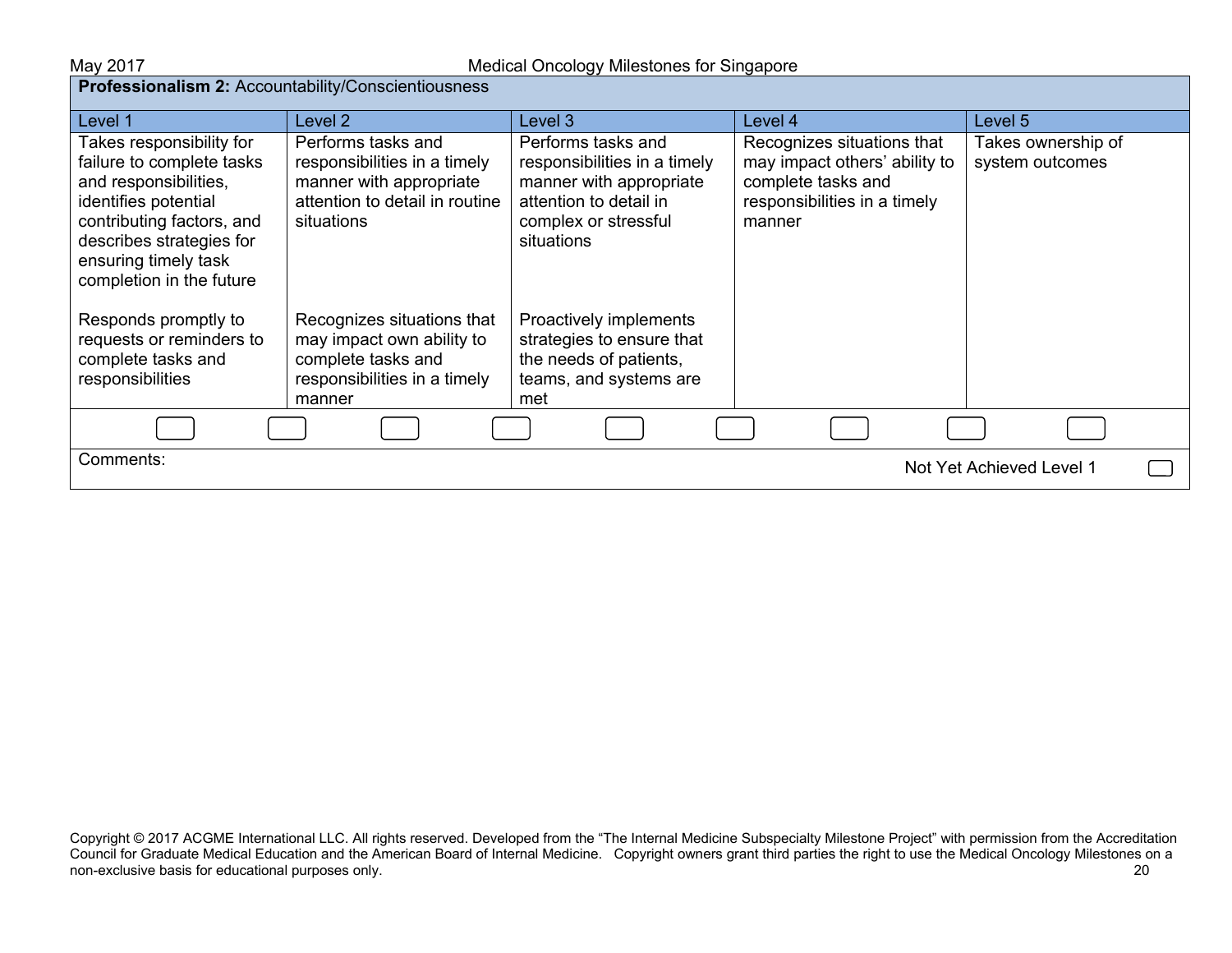| Professionalism 2: Accountability/Conscientiousness                                                                                                                                                                 |                                                                                                                               |                                                                                                                                               |                                                                                                                             |                                       |
|---------------------------------------------------------------------------------------------------------------------------------------------------------------------------------------------------------------------|-------------------------------------------------------------------------------------------------------------------------------|-----------------------------------------------------------------------------------------------------------------------------------------------|-----------------------------------------------------------------------------------------------------------------------------|---------------------------------------|
| Level 1                                                                                                                                                                                                             | Level 2                                                                                                                       | Level 3                                                                                                                                       | Level 4                                                                                                                     | Level 5                               |
| Takes responsibility for<br>failure to complete tasks<br>and responsibilities,<br>identifies potential<br>contributing factors, and<br>describes strategies for<br>ensuring timely task<br>completion in the future | Performs tasks and<br>responsibilities in a timely<br>manner with appropriate<br>attention to detail in routine<br>situations | Performs tasks and<br>responsibilities in a timely<br>manner with appropriate<br>attention to detail in<br>complex or stressful<br>situations | Recognizes situations that<br>may impact others' ability to<br>complete tasks and<br>responsibilities in a timely<br>manner | Takes ownership of<br>system outcomes |
| Responds promptly to<br>requests or reminders to<br>complete tasks and<br>responsibilities                                                                                                                          | Recognizes situations that<br>may impact own ability to<br>complete tasks and<br>responsibilities in a timely<br>manner       | Proactively implements<br>strategies to ensure that<br>the needs of patients,<br>teams, and systems are<br>met                                |                                                                                                                             |                                       |
|                                                                                                                                                                                                                     |                                                                                                                               |                                                                                                                                               |                                                                                                                             |                                       |
| Comments:<br>Not Yet Achieved Level 1                                                                                                                                                                               |                                                                                                                               |                                                                                                                                               |                                                                                                                             |                                       |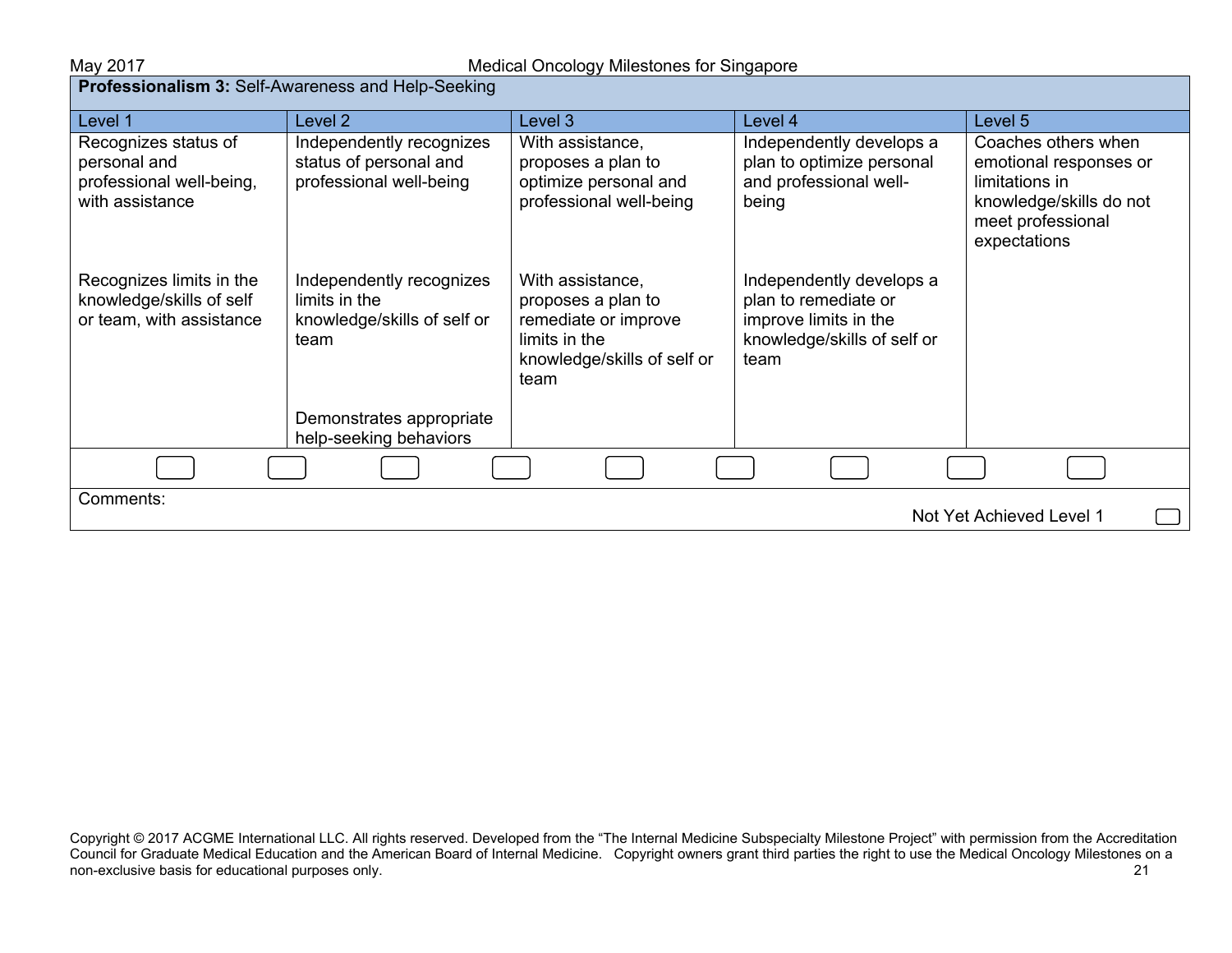| <b>Professionalism 3:</b> Self-Awareness and Help-Seeking                           |                                                                                  |                                                                                                                        |                                                                                                                  |                                                                                                                                 |
|-------------------------------------------------------------------------------------|----------------------------------------------------------------------------------|------------------------------------------------------------------------------------------------------------------------|------------------------------------------------------------------------------------------------------------------|---------------------------------------------------------------------------------------------------------------------------------|
| Level 1                                                                             | Level 2                                                                          | Level 3                                                                                                                | Level 4                                                                                                          | Level 5                                                                                                                         |
| Recognizes status of<br>personal and<br>professional well-being,<br>with assistance | Independently recognizes<br>status of personal and<br>professional well-being    | With assistance,<br>proposes a plan to<br>optimize personal and<br>professional well-being                             | Independently develops a<br>plan to optimize personal<br>and professional well-<br>being                         | Coaches others when<br>emotional responses or<br>limitations in<br>knowledge/skills do not<br>meet professional<br>expectations |
| Recognizes limits in the<br>knowledge/skills of self<br>or team, with assistance    | Independently recognizes<br>limits in the<br>knowledge/skills of self or<br>team | With assistance,<br>proposes a plan to<br>remediate or improve<br>limits in the<br>knowledge/skills of self or<br>team | Independently develops a<br>plan to remediate or<br>improve limits in the<br>knowledge/skills of self or<br>team |                                                                                                                                 |
|                                                                                     | Demonstrates appropriate<br>help-seeking behaviors                               |                                                                                                                        |                                                                                                                  |                                                                                                                                 |
|                                                                                     |                                                                                  |                                                                                                                        |                                                                                                                  |                                                                                                                                 |
| Comments:<br>Not Yet Achieved Level 1                                               |                                                                                  |                                                                                                                        |                                                                                                                  |                                                                                                                                 |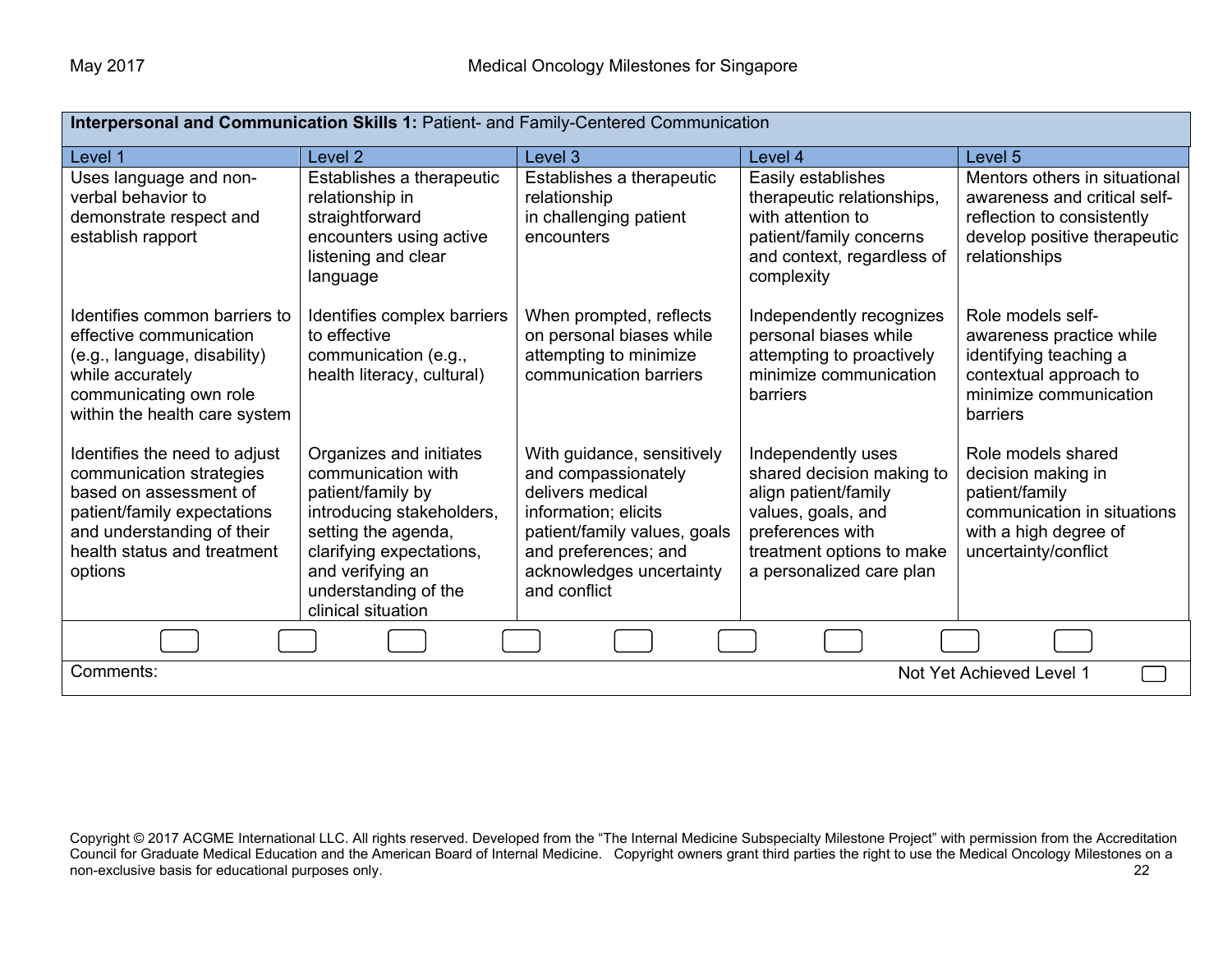| Interpersonal and Communication Skills 1: Patient- and Family-Centered Communication                                                                                                       |                                                                                                                                                                                                                      |                                                                                                                                                                                                   |                                                                                                                                                                            |                                                                                                                                              |
|--------------------------------------------------------------------------------------------------------------------------------------------------------------------------------------------|----------------------------------------------------------------------------------------------------------------------------------------------------------------------------------------------------------------------|---------------------------------------------------------------------------------------------------------------------------------------------------------------------------------------------------|----------------------------------------------------------------------------------------------------------------------------------------------------------------------------|----------------------------------------------------------------------------------------------------------------------------------------------|
| Level 1                                                                                                                                                                                    | Level 2                                                                                                                                                                                                              | Level 3                                                                                                                                                                                           | Level 4                                                                                                                                                                    | Level 5                                                                                                                                      |
| Uses language and non-<br>verbal behavior to<br>demonstrate respect and<br>establish rapport                                                                                               | Establishes a therapeutic<br>relationship in<br>straightforward<br>encounters using active<br>listening and clear<br>language                                                                                        | Establishes a therapeutic<br>relationship<br>in challenging patient<br>encounters                                                                                                                 | Easily establishes<br>therapeutic relationships,<br>with attention to<br>patient/family concerns<br>and context, regardless of<br>complexity                               | Mentors others in situational<br>awareness and critical self-<br>reflection to consistently<br>develop positive therapeutic<br>relationships |
| Identifies common barriers to<br>effective communication<br>(e.g., language, disability)<br>while accurately<br>communicating own role<br>within the health care system                    | Identifies complex barriers<br>to effective<br>communication (e.g.,<br>health literacy, cultural)                                                                                                                    | When prompted, reflects<br>on personal biases while<br>attempting to minimize<br>communication barriers                                                                                           | Independently recognizes<br>personal biases while<br>attempting to proactively<br>minimize communication<br>barriers                                                       | Role models self-<br>awareness practice while<br>identifying teaching a<br>contextual approach to<br>minimize communication<br>barriers      |
| Identifies the need to adjust<br>communication strategies<br>based on assessment of<br>patient/family expectations<br>and understanding of their<br>health status and treatment<br>options | Organizes and initiates<br>communication with<br>patient/family by<br>introducing stakeholders,<br>setting the agenda,<br>clarifying expectations,<br>and verifying an<br>understanding of the<br>clinical situation | With guidance, sensitively<br>and compassionately<br>delivers medical<br>information; elicits<br>patient/family values, goals<br>and preferences; and<br>acknowledges uncertainty<br>and conflict | Independently uses<br>shared decision making to<br>align patient/family<br>values, goals, and<br>preferences with<br>treatment options to make<br>a personalized care plan | Role models shared<br>decision making in<br>patient/family<br>communication in situations<br>with a high degree of<br>uncertainty/conflict   |
|                                                                                                                                                                                            |                                                                                                                                                                                                                      |                                                                                                                                                                                                   |                                                                                                                                                                            |                                                                                                                                              |
| Comments:<br>Not Yet Achieved Level 1                                                                                                                                                      |                                                                                                                                                                                                                      |                                                                                                                                                                                                   |                                                                                                                                                                            |                                                                                                                                              |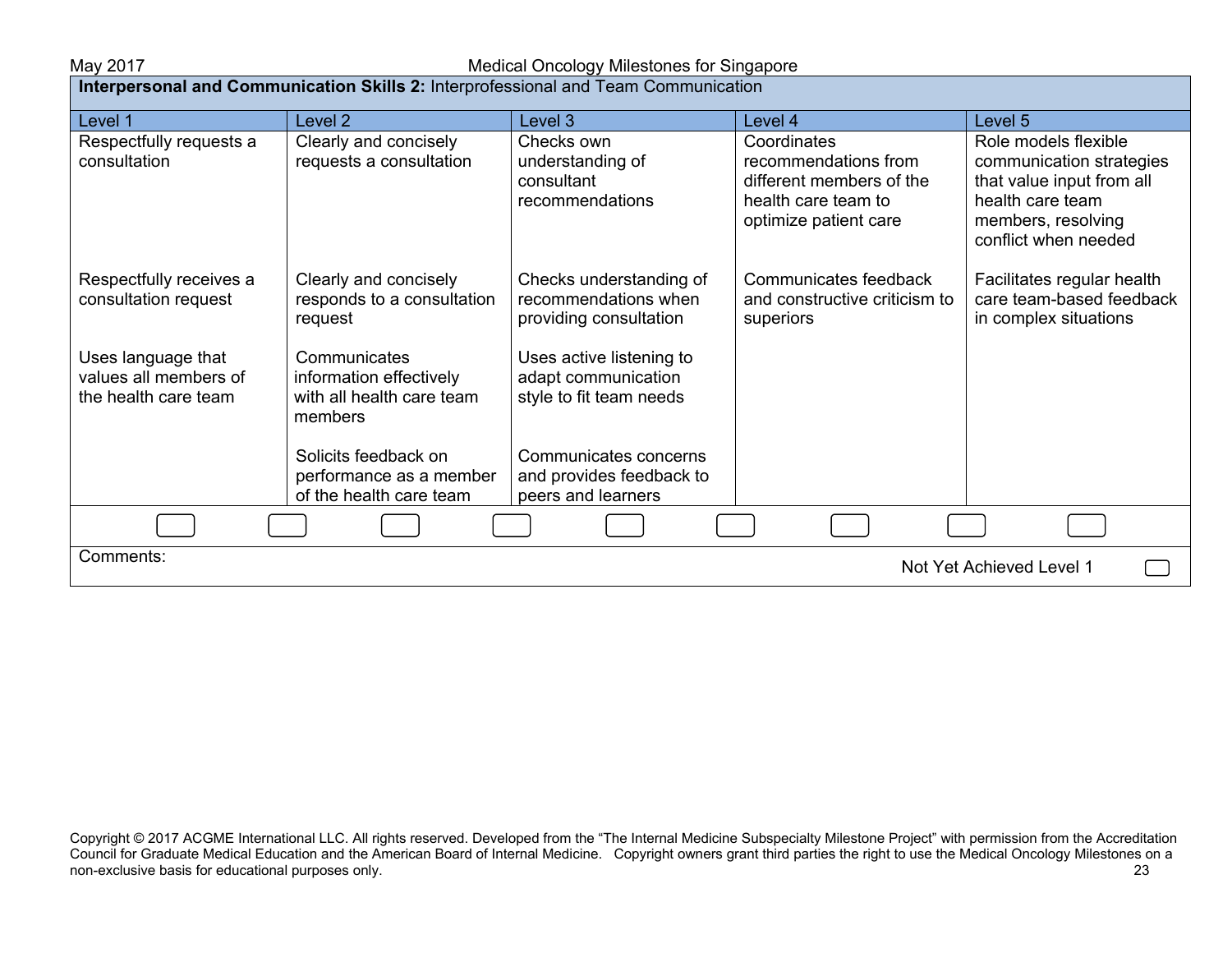May 2017 Medical Oncology Milestones for Singapore

| <b>Interpersonal and Communication Skills 2:</b> Interprofessional and Team Communication |                                                                                 |                                                                            |                                                                                                                 |                                                                                                                                                 |  |  |
|-------------------------------------------------------------------------------------------|---------------------------------------------------------------------------------|----------------------------------------------------------------------------|-----------------------------------------------------------------------------------------------------------------|-------------------------------------------------------------------------------------------------------------------------------------------------|--|--|
| Level 1                                                                                   | Level 2                                                                         | Level 3                                                                    | Level 4                                                                                                         | Level 5                                                                                                                                         |  |  |
| Respectfully requests a<br>consultation                                                   | Clearly and concisely<br>requests a consultation                                | Checks own<br>understanding of<br>consultant<br>recommendations            | Coordinates<br>recommendations from<br>different members of the<br>health care team to<br>optimize patient care | Role models flexible<br>communication strategies<br>that value input from all<br>health care team<br>members, resolving<br>conflict when needed |  |  |
| Respectfully receives a<br>consultation request                                           | Clearly and concisely<br>responds to a consultation<br>request                  | Checks understanding of<br>recommendations when<br>providing consultation  | Communicates feedback<br>and constructive criticism to<br>superiors                                             | Facilitates regular health<br>care team-based feedback<br>in complex situations                                                                 |  |  |
| Uses language that<br>values all members of<br>the health care team                       | Communicates<br>information effectively<br>with all health care team<br>members | Uses active listening to<br>adapt communication<br>style to fit team needs |                                                                                                                 |                                                                                                                                                 |  |  |
|                                                                                           | Solicits feedback on<br>performance as a member<br>of the health care team      | Communicates concerns<br>and provides feedback to<br>peers and learners    |                                                                                                                 |                                                                                                                                                 |  |  |
|                                                                                           |                                                                                 |                                                                            |                                                                                                                 |                                                                                                                                                 |  |  |
| Comments:<br>Not Yet Achieved Level 1                                                     |                                                                                 |                                                                            |                                                                                                                 |                                                                                                                                                 |  |  |

Copyright © 2017 ACGME International LLC. All rights reserved. Developed from the "The Internal Medicine Subspecialty Milestone Project" with permission from the Accreditation Council for Graduate Medical Education and the American Board of Internal Medicine. Copyright owners grant third parties the right to use the Medical Oncology Milestones on a non-exclusive basis for educational purposes only. The contract of the contract of the contract of the contract of the contract of the contract of the contract of the contract of the contract of the contract of the contrac